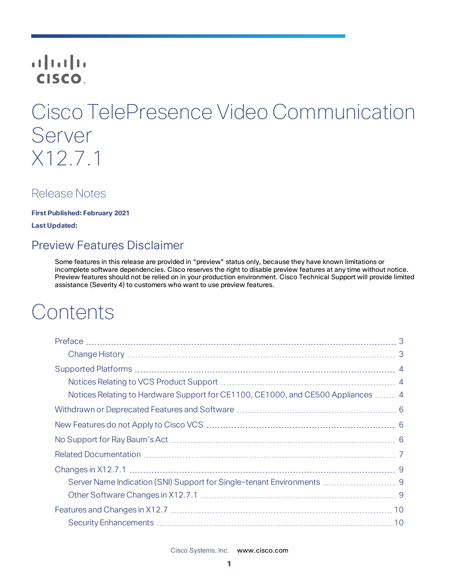## **CISCO**

# Cisco TelePresence Video Communication Server X12.7.1

## Release Notes

**First Published: February 2021**

<span id="page-0-0"></span>**Last Updated:**

## Preview Features Disclaimer

Some features in this release are provided in "preview" status only, because they have known limitations or incomplete software dependencies. Cisco reserves the right to disable preview features at any time without notice. Preview features should not be relied on in your production environment. Cisco Technical Support will provide limited assistance (Severity 4) to customers who want to use preview features.

# **Contents**

| Notices Relating to Hardware Support for CE1100, CE1000, and CE500 Appliances  4 |  |
|----------------------------------------------------------------------------------|--|
|                                                                                  |  |
|                                                                                  |  |
|                                                                                  |  |
|                                                                                  |  |
|                                                                                  |  |
| Server Name Indication (SNI) Support for Single-tenant Environments  9           |  |
|                                                                                  |  |
|                                                                                  |  |
|                                                                                  |  |

Cisco Systems, Inc.  [www.cisco.com](http://www.cisco.com/)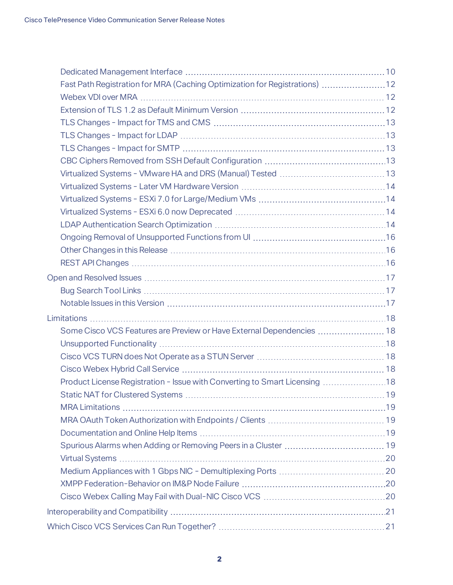| Fast Path Registration for MRA (Caching Optimization for Registrations) 12 |    |
|----------------------------------------------------------------------------|----|
|                                                                            |    |
|                                                                            |    |
|                                                                            |    |
|                                                                            |    |
|                                                                            |    |
|                                                                            |    |
|                                                                            |    |
|                                                                            |    |
|                                                                            |    |
|                                                                            |    |
|                                                                            |    |
|                                                                            |    |
|                                                                            |    |
|                                                                            |    |
|                                                                            |    |
|                                                                            |    |
|                                                                            |    |
|                                                                            |    |
| Some Cisco VCS Features are Preview or Have External Dependencies  18      |    |
|                                                                            |    |
|                                                                            |    |
|                                                                            |    |
| Product License Registration - Issue with Converting to Smart Licensing 18 |    |
| Static NAT for Clustered Systems.                                          | 19 |
|                                                                            |    |
|                                                                            |    |
|                                                                            |    |
|                                                                            |    |
|                                                                            |    |
|                                                                            |    |
|                                                                            |    |
|                                                                            |    |
|                                                                            |    |
|                                                                            |    |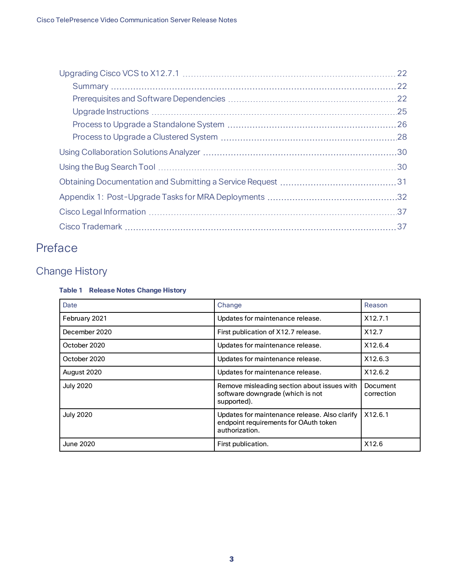|  | 22  |  |
|--|-----|--|
|  |     |  |
|  | .25 |  |
|  |     |  |
|  |     |  |
|  |     |  |
|  |     |  |
|  |     |  |
|  |     |  |
|  |     |  |
|  |     |  |
|  |     |  |

## <span id="page-2-0"></span>Preface

## <span id="page-2-1"></span>Change History

### **Table 1 Release Notes Change History**

| Date             | Change                                                                                                   | Reason                 |
|------------------|----------------------------------------------------------------------------------------------------------|------------------------|
| February 2021    | Updates for maintenance release.                                                                         | X12.7.1                |
| December 2020    | First publication of X12.7 release.                                                                      | X <sub>12.7</sub>      |
| October 2020     | Updates for maintenance release.                                                                         | X12.6.4                |
| October 2020     | Updates for maintenance release.                                                                         | X12.6.3                |
| August 2020      | Updates for maintenance release.                                                                         | X12.6.2                |
| <b>July 2020</b> | Remove misleading section about issues with<br>software downgrade (which is not<br>supported).           | Document<br>correction |
| <b>July 2020</b> | Updates for maintenance release. Also clarify<br>endpoint requirements for OAuth token<br>authorization. | X12.6.1                |
| <b>June 2020</b> | First publication.                                                                                       | X12.6                  |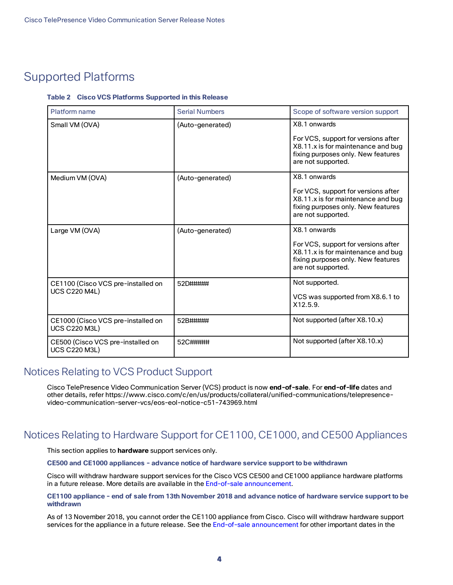## <span id="page-3-0"></span>Supported Platforms

#### **Table 2 Cisco VCS Platforms Supported in this Release**

| Platform name                                              | <b>Serial Numbers</b> | Scope of software version support                                                                                                     |
|------------------------------------------------------------|-----------------------|---------------------------------------------------------------------------------------------------------------------------------------|
| Small VM (OVA)                                             | (Auto-generated)      | X8.1 onwards                                                                                                                          |
|                                                            |                       | For VCS, support for versions after<br>X8.11.x is for maintenance and bug<br>fixing purposes only. New features<br>are not supported. |
| Medium VM (OVA)                                            | (Auto-generated)      | X8.1 onwards                                                                                                                          |
|                                                            |                       | For VCS, support for versions after<br>X8.11.x is for maintenance and bug<br>fixing purposes only. New features<br>are not supported. |
| Large VM (OVA)                                             | (Auto-generated)      | X8.1 onwards                                                                                                                          |
|                                                            |                       | For VCS, support for versions after<br>X8.11.x is for maintenance and bug<br>fixing purposes only. New features<br>are not supported. |
| CE1100 (Cisco VCS pre-installed on                         | 52D#####              | Not supported.                                                                                                                        |
| <b>UCS C220 M4L)</b>                                       |                       | VCS was supported from X8.6.1 to<br>X12.5.9.                                                                                          |
| CE1000 (Cisco VCS pre-installed on<br><b>UCS C220 M3L)</b> | 52B#####              | Not supported (after X8.10.x)                                                                                                         |
| CE500 (Cisco VCS pre-installed on<br><b>UCS C220 M3L)</b>  | 52C#####              | Not supported (after X8.10.x)                                                                                                         |

### <span id="page-3-1"></span>Notices Relating to VCS Product Support

Cisco TelePresence Video Communication Server (VCS) product is now **end-of-sale**. For **end-of-life** dates and other details, refer https://www.cisco.com/c/en/us/products/collateral/unified-communications/telepresencevideo-communication-server-vcs/eos-eol-notice-c51-743969.html

## <span id="page-3-2"></span>Notices Relating to Hardware Support for CE1100, CE1000, and CE500 Appliances

This section applies to **hardware** support services only.

**CE500 and CE1000 appliances - advance notice of hardware service support to be withdrawn**

Cisco will withdraw hardware support services for the Cisco VCS CE500 and CE1000 appliance hardware platforms in a future release. More details are available in the End-of-sale [announcement.](http://www.cisco.com/c/en/us/products/collateral/unified-communications/telepresence-video-communication-server-vcs/eos-eol-notice-c51-735718.html)

#### CE1100 appliance - end of sale from 13th November 2018 and advance notice of hardware service support to be **withdrawn**

As of 13 November 2018, you cannot order the CE1100 appliance from Cisco. Cisco will withdraw hardware support services for the appliance in a future release. See the End-of-sale [announcement](https://www.cisco.com/c/en/us/products/collateral/unified-communications/telepresence-video-communication-server-vcs/eos-eol-notice-c51-741202.html) for other important dates in the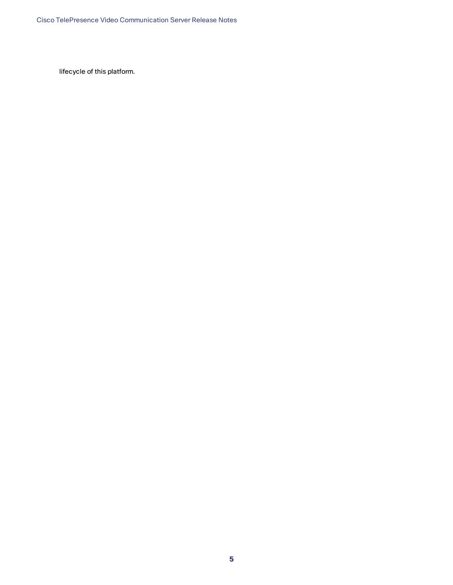lifecycle of this platform.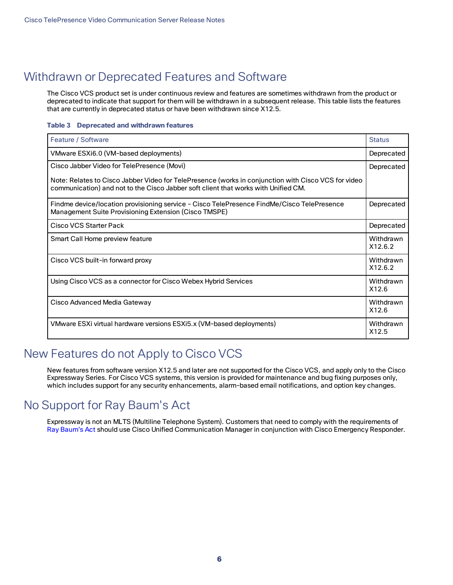## <span id="page-5-0"></span>Withdrawn or Deprecated Features and Software

The Cisco VCS product set is under continuous review and features are sometimes withdrawn from the product or deprecated to indicate that support for them will be withdrawn in a subsequent release. This table lists the features that are currently in deprecated status or have been withdrawn since X12.5.

#### **Table 3 Deprecated and withdrawn features**

| Feature / Software                                                                                                                                                                        | <b>Status</b>        |
|-------------------------------------------------------------------------------------------------------------------------------------------------------------------------------------------|----------------------|
| VMware ESXi6.0 (VM-based deployments)                                                                                                                                                     | Deprecated           |
| Cisco Jabber Video for TelePresence (Movi)                                                                                                                                                | Deprecated           |
| Note: Relates to Cisco Jabber Video for TelePresence (works in conjunction with Cisco VCS for video<br>communication) and not to the Cisco Jabber soft client that works with Unified CM. |                      |
| Findme device/location provisioning service - Cisco TelePresence FindMe/Cisco TelePresence<br>Management Suite Provisioning Extension (Cisco TMSPE)                                       | Deprecated           |
| Cisco VCS Starter Pack                                                                                                                                                                    | Deprecated           |
| Smart Call Home preview feature                                                                                                                                                           | Withdrawn<br>X12.6.2 |
| Cisco VCS built-in forward proxy                                                                                                                                                          | Withdrawn<br>X12.6.2 |
| Using Cisco VCS as a connector for Cisco Webex Hybrid Services                                                                                                                            | Withdrawn<br>X12.6   |
| Cisco Advanced Media Gateway                                                                                                                                                              | Withdrawn<br>X12.6   |
| VMware ESXi virtual hardware versions ESXi5.x (VM-based deployments)                                                                                                                      | Withdrawn<br>X12.5   |

## <span id="page-5-1"></span>New Features do not Apply to Cisco VCS

New features from software version X12.5 and later are not supported for the Cisco VCS, and apply only to the Cisco Expressway Series. For Cisco VCS systems, this version is provided for maintenance and bug fixing purposes only, which includes support for any security enhancements, alarm-based email notifications, and option key changes.

## <span id="page-5-2"></span>No Support for Ray Baum's Act

Expressway is not an MLTS (Multiline Telephone System). Customers that need to comply with the requirements of Ray [Baum's](https://www.fcc.gov/document/fcc-improves-access-911-and-timely-assistance-first-responders-0) Act should use Cisco Unified Communication Manager in conjunction with Cisco Emergency Responder.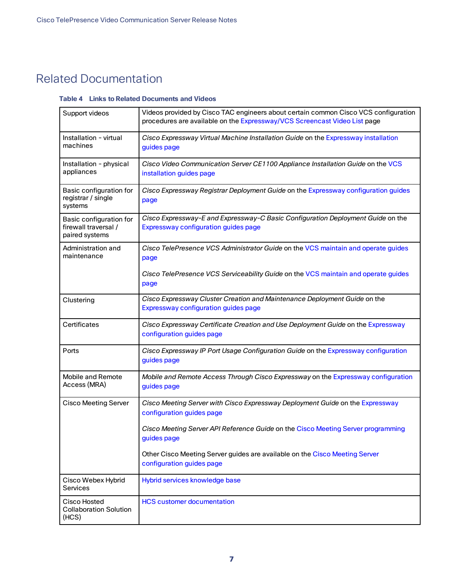## <span id="page-6-0"></span>Related Documentation

#### **Table 4 Links to Related Documents and Videos**

| Support videos                                                    | Videos provided by Cisco TAC engineers about certain common Cisco VCS configuration<br>procedures are available on the Expressway/VCS Screencast Video List page |
|-------------------------------------------------------------------|------------------------------------------------------------------------------------------------------------------------------------------------------------------|
| Installation - virtual<br>machines                                | Cisco Expressway Virtual Machine Installation Guide on the Expressway installation<br>guides page                                                                |
| Installation - physical<br>appliances                             | Cisco Video Communication Server CE1100 Appliance Installation Guide on the VCS<br>installation guides page                                                      |
| Basic configuration for<br>registrar / single<br>systems          | Cisco Expressway Registrar Deployment Guide on the Expressway configuration guides<br>page                                                                       |
| Basic configuration for<br>firewall traversal /<br>paired systems | Cisco Expressway-E and Expressway-C Basic Configuration Deployment Guide on the<br>Expressway configuration guides page                                          |
| Administration and<br>maintenance                                 | Cisco TelePresence VCS Administrator Guide on the VCS maintain and operate guides<br>page                                                                        |
|                                                                   | Cisco TelePresence VCS Serviceability Guide on the VCS maintain and operate guides<br>page                                                                       |
| Clustering                                                        | Cisco Expressway Cluster Creation and Maintenance Deployment Guide on the<br>Expressway configuration guides page                                                |
| Certificates                                                      | Cisco Expressway Certificate Creation and Use Deployment Guide on the Expressway<br>configuration guides page                                                    |
| Ports                                                             | Cisco Expressway IP Port Usage Configuration Guide on the Expressway configuration<br>guides page                                                                |
| Mobile and Remote<br>Access (MRA)                                 | Mobile and Remote Access Through Cisco Expressway on the Expressway configuration<br>guides page                                                                 |
| <b>Cisco Meeting Server</b>                                       | Cisco Meeting Server with Cisco Expressway Deployment Guide on the Expressway<br>configuration guides page                                                       |
|                                                                   | Cisco Meeting Server API Reference Guide on the Cisco Meeting Server programming<br>guides page                                                                  |
|                                                                   | Other Cisco Meeting Server guides are available on the Cisco Meeting Server<br>configuration guides page                                                         |
| Cisco Webex Hybrid<br>Services                                    | Hybrid services knowledge base                                                                                                                                   |
| Cisco Hosted<br><b>Collaboration Solution</b><br>(HCS)            | <b>HCS customer documentation</b>                                                                                                                                |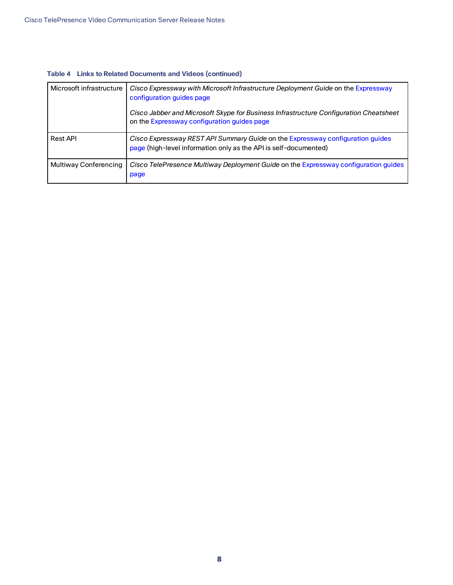| Microsoft infrastructure | Cisco Expressway with Microsoft Infrastructure Deployment Guide on the Expressway<br>configuration guides page                                     |  |
|--------------------------|----------------------------------------------------------------------------------------------------------------------------------------------------|--|
|                          | Cisco Jabber and Microsoft Skype for Business Infrastructure Configuration Cheatsheet<br>on the Expressway configuration guides page               |  |
| <b>Rest API</b>          | Cisco Expressway REST API Summary Guide on the Expressway configuration guides<br>page (high-level information only as the API is self-documented) |  |
| Multiway Conferencing    | Cisco TelePresence Multiway Deployment Guide on the Expressway configuration guides<br>page                                                        |  |

#### **Table 4 Links to Related Documents and Videos (continued)**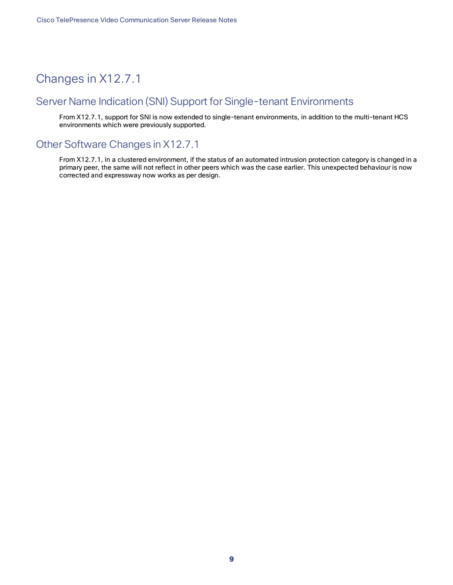## <span id="page-8-0"></span>Changes in X12.7.1

## <span id="page-8-1"></span>Server Name Indication (SNI) Support for Single-tenant Environments

From X12.7.1, support for SNI is now extended to single-tenant environments, in addition to the multi-tenant HCS environments which were previously supported.

## <span id="page-8-2"></span>Other Software Changes in X12.7.1

From X12.7.1, in a clustered environment, if the status of an automated intrusion protection category is changed in a primary peer, the same will not reflect in other peers which was the case earlier. This unexpected behaviour is now corrected and expressway now works as per design.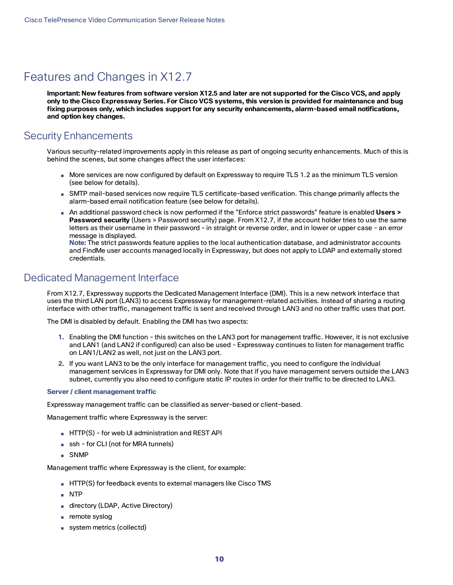## <span id="page-9-0"></span>Features and Changes in X12.7

Important: New features from software version X12.5 and later are not supported for the Cisco VCS, and apply only to the Cisco Expressway Series. For Cisco VCS systems, this version is provided for maintenance and bug **fixing purposes only, which includes support for any security enhancements, alarm-based email notifications, and option key changes.**

## <span id="page-9-1"></span>Security Enhancements

Various security-related improvements apply in this release as part of ongoing security enhancements. Much of this is behind the scenes, but some changes affect the user interfaces:

- More services are now configured by default on Expressway to require TLS 1.2 as the minimum TLS version (see below for details).
- SMTP mail-based services now require TLS certificate-based verification. This change primarily affects the alarm-based email notification feature (see below for details).
- An additional password check is now performed if the "Enforce strict passwords" feature is enabled **Users > Password security** (Users > Password security) page. From X12.7, if the account holder tries to use the same letters as their username in their password - in straight or reverse order, and in lower or upper case - an error message is displayed.

**Note:** The strict passwords feature applies to the local authentication database, and administrator accounts and FindMe user accounts managed locally in Expressway, but does not apply to LDAP and externally stored credentials.

## <span id="page-9-2"></span>Dedicated Management Interface

From X12.7, Expressway supports the Dedicated Management Interface (DMI). This is a new network interface that uses the third LAN port (LAN3) to access Expressway for management-related activities. Instead of sharing a routing interface with other traffic, management traffic is sent and received through LAN3 and no other traffic uses that port.

The DMI is disabled by default. Enabling the DMI has two aspects:

- **1.** Enabling the DMI function this switches on the LAN3 port for management traffic. However, it is not exclusive and LAN1 (and LAN2 if configured) can also be used - Expressway continues to listen for management traffic on LAN1/LAN2 as well, not just on the LAN3 port.
- **2.** If you want LAN3 to be the only interface for management traffic, you need to configure the individual management services in Expressway for DMI only. Note that if you have management servers outside the LAN3 subnet, currently you also need to configure static IP routes in order for their traffic to be directed to LAN3.

#### **Server / client management traffic**

Expressway management traffic can be classified as server-based or client-based.

Management traffic where Expressway is the server:

- HTTP(S) for web UI administration and REST API
- ssh for CLI (not for MRA tunnels)
- SNMP

Management traffic where Expressway is the client, for example:

- HTTP(S) for feedback events to external managers like Cisco TMS
- NTP
- directory (LDAP, Active Directory)
- remote syslog
- system metrics (collectd)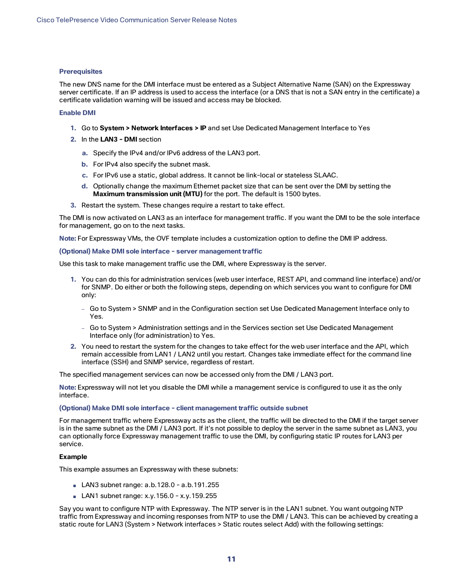#### **Prerequisites**

The new DNS name for the DMI interface must be entered as a Subject Alternative Name (SAN) on the Expressway server certificate. If an IP address is used to access the interface (or a DNS that is not a SAN entry in the certificate) a certificate validation warning will be issued and access may be blocked.

#### **Enable DMI**

- **1.** Go to **System > Network Interfaces > IP** and set Use Dedicated Management Interface to Yes
- **2.** In the **LAN3 - DMI** section
	- **a.** Specify the IPv4 and/or IPv6 address of the LAN3 port.
	- **b.** For IPv4 also specify the subnet mask.
	- **c.** For IPv6 use a static, global address. It cannot be link-local or stateless SLAAC.
	- **d.** Optionally change the maximum Ethernet packet size that can be sent over the DMI by setting the **Maximum transmission unit (MTU)** for the port. The default is 1500 bytes.
- **3.** Restart the system. These changes require a restart to take effect.

The DMI is now activated on LAN3 as an interface for management traffic. If you want the DMI to be the sole interface for management, go on to the next tasks.

**Note:** For Expressway VMs, the OVF template includes a customization option to define the DMI IP address.

#### **(Optional) Make DMI sole interface - server management traffic**

Use this task to make management traffic use the DMI, where Expressway is the server.

- **1.** You can do this for administration services (web user interface, REST API, and command line interface) and/or for SNMP. Do either or both the following steps, depending on which services you want to configure for DMI only:
	- Go to System > SNMP and in the Configuration section set Use Dedicated Management Interface only to Yes.
	- Go to System > Administration settings and in the Services section set Use Dedicated Management Interface only (for administration) to Yes.
- **2.** You need to restart the system for the changes to take effect for the web user interface and the API, which remain accessible from LAN1 / LAN2 until you restart. Changes take immediate effect for the command line interface (SSH) and SNMP service, regardless of restart.

The specified management services can now be accessed only from the DMI / LAN3 port.

**Note:** Expressway will not let you disable the DMI while a management service is configured to use it as the only interface.

#### **(Optional) Make DMI sole interface - client management traffic outside subnet**

For management traffic where Expressway acts as the client, the traffic will be directed to the DMI if the target server is in the same subnet as the DMI / LAN3 port. If it's not possible to deploy the server in the same subnet as LAN3, you can optionally force Expressway management traffic to use the DMI, by configuring static IP routes for LAN3 per service.

#### **Example**

This example assumes an Expressway with these subnets:

- LAN3 subnet range: a.b.128.0 a.b.191.255
- LAN1 subnet range: x.y.156.0 x.y.159.255

Say you want to configure NTP with Expressway. The NTP server is in the LAN1 subnet. You want outgoing NTP traffic from Expressway and incoming responses from NTP to use the DMI / LAN3. This can be achieved by creating a static route for LAN3 (System > Network interfaces > Static routes select Add) with the following settings: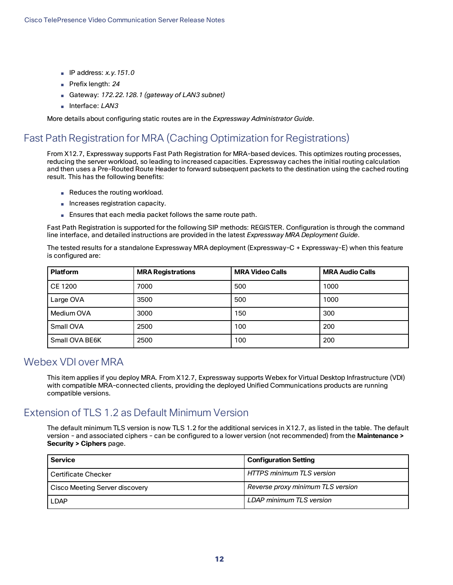- IP address: *x.y.151.0*
- Prefix length: 24
- Gateway: 172.22.128.1 (gateway of LAN3 subnet)
- Interface: *LAN3*

More details about configuring static routes are in the *Expressway Administrator Guide*.

## <span id="page-11-0"></span>Fast Path Registration for MRA (Caching Optimization for Registrations)

From X12.7, Expressway supports Fast Path Registration for MRA-based devices. This optimizes routing processes, reducing the server workload, so leading to increased capacities. Expressway caches the initial routing calculation and then uses a Pre-Routed Route Header to forward subsequent packets to the destination using the cached routing result. This has the following benefits:

- Reduces the routing workload.
- Increases registration capacity.
- Ensures that each media packet follows the same route path.

Fast Path Registration is supported for the following SIP methods: REGISTER. Configuration is through the command line interface, and detailed instructions are provided in the latest *Expressway MRA Deployment Guide*.

The tested results for a standalone Expressway MRA deployment (Expressway-C + Expressway-E) when this feature is configured are:

| <b>Platform</b> | <b>MRA Registrations</b> | <b>MRA Video Calls</b> | <b>MRA Audio Calls</b> |
|-----------------|--------------------------|------------------------|------------------------|
| <b>CE 1200</b>  | 7000                     | 500                    | 1000                   |
| Large OVA       | 3500                     | 500                    | 1000                   |
| Medium OVA      | 3000                     | 150                    | 300                    |
| Small OVA       | 2500                     | 100                    | 200                    |
| Small OVA BE6K  | 2500                     | 100                    | 200                    |

### <span id="page-11-1"></span>Webex VDI over MRA

This item applies if you deploy MRA. From X12.7, Expressway supports Webex for Virtual Desktop Infrastructure (VDI) with compatible MRA-connected clients, providing the deployed Unified Communications products are running compatible versions.

## <span id="page-11-2"></span>Extension of TLS 1.2 as Default Minimum Version

The default minimum TLS version is now TLS 1.2 for the additional services in X12.7, as listed in the table. The default version - and associated ciphers - can be configured to a lower version (not recommended) from the **Maintenance > Security > Ciphers** page.

| <b>Service</b>                 | <b>Configuration Setting</b>      |
|--------------------------------|-----------------------------------|
| Certificate Checker            | l HTTPS minimum TLS version       |
| Cisco Meeting Server discovery | Reverse proxy minimum TLS version |
| <b>LDAP</b>                    | LDAP minimum TLS version          |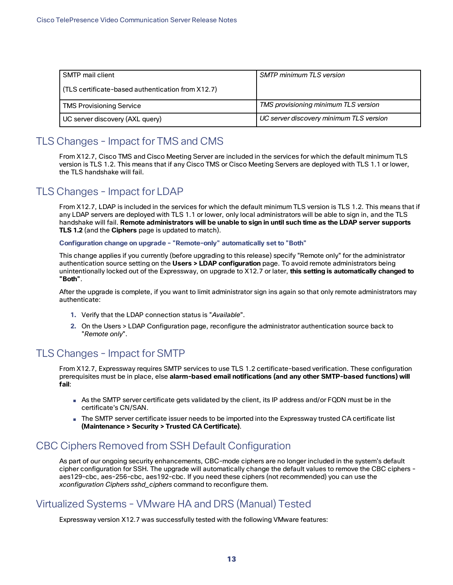| SMTP mail client                                  | <b>SMTP minimum TLS version</b>         |
|---------------------------------------------------|-----------------------------------------|
| (TLS certificate-based authentication from X12.7) |                                         |
| TMS Provisioning Service                          | TMS provisioning minimum TLS version    |
| UC server discovery (AXL query)                   | UC server discovery minimum TLS version |

## <span id="page-12-0"></span>TLS Changes - Impact for TMS and CMS

From X12.7, Cisco TMS and Cisco Meeting Server are included in the services for which the default minimum TLS version is TLS 1.2. This means that if any Cisco TMS or Cisco Meeting Servers are deployed with TLS 1.1 or lower, the TLS handshake will fail.

## <span id="page-12-1"></span>TLS Changes - Impact for LDAP

From X12.7, LDAP is included in the services for which the default minimum TLS version is TLS 1.2. This means that if any LDAP servers are deployed with TLS 1.1 or lower, only local administrators will be able to sign in, and the TLS handshake will fail. **Remote administrators will be unable to sign in until such time as the LDAP server supports TLS 1.2** (and the **Ciphers** page is updated to match).

**Configuration change on upgrade - "Remote-only" automatically set to "Both"**

This change applies if you currently (before upgrading to this release) specify "Remote only" for the administrator authentication source setting on the **Users > LDAP configuration** page. To avoid remote administrators being unintentionally locked out of the Expressway, on upgrade to X12.7 or later, **this setting is automatically changed to "Both"**.

After the upgrade is complete, if you want to limit administrator sign ins again so that only remote administrators may authenticate:

- **1.** Verify that the LDAP connection status is "*Available*".
- **2.** On the Users > LDAP Configuration page, reconfigure the administrator authentication source back to "*Remote only*".

## <span id="page-12-2"></span>TLS Changes - Impact for SMTP

From X12.7, Expressway requires SMTP services to use TLS 1.2 certificate-based verification. These configuration prerequisites must be in place, else **alarm-based email notifications (and any other SMTP-based functions) will fail**:

- As the SMTP server certificate gets validated by the client, its IP address and/or FQDN must be in the certificate's CN/SAN.
- The SMTP server certificate issuer needs to be imported into the Expressway trusted CA certificate list **(Maintenance > Security > Trusted CA Certificate)**.

## <span id="page-12-3"></span>CBC Ciphers Removed from SSH Default Configuration

As part of our ongoing security enhancements, CBC-mode ciphers are no longer included in the system's default cipher configuration for SSH. The upgrade will automatically change the default values to remove the CBC ciphers aes129-cbc, aes-256-cbc, aes192-cbc. If you need these ciphers (not recommended) you can use the *xconfiguration Ciphers sshd\_ciphers* command to reconfigure them.

## <span id="page-12-4"></span>Virtualized Systems - VMware HA and DRS (Manual) Tested

Expressway version X12.7 was successfully tested with the following VMware features: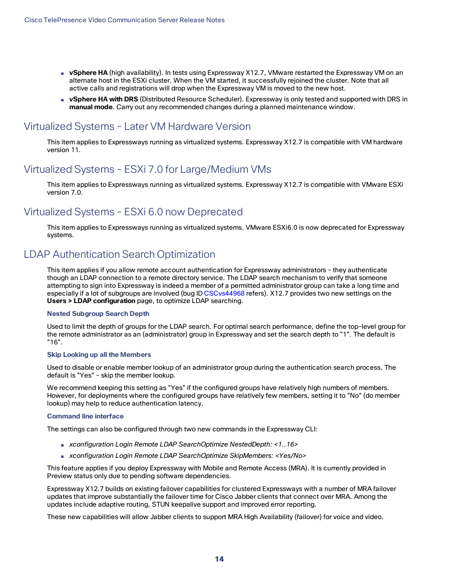- **vSphere HA** (high availability). In tests using Expressway X12.7, VMware restarted the Expressway VM on an alternate host in the ESXi cluster. When the VM started, it successfully rejoined the cluster. Note that all active calls and registrations will drop when the Expressway VM is moved to the new host.
- **vSphere HA with DRS** (Distributed Resource Scheduler). Expressway is only tested and supported with DRS in **manual mode**. Carry out any recommended changes during a planned maintenance window.

## <span id="page-13-0"></span>Virtualized Systems - Later VM Hardware Version

This item applies to Expressways running as virtualized systems. Expressway X12.7 is compatible with VM hardware version 11.

## <span id="page-13-1"></span>Virtualized Systems - ESXi 7.0 for Large/Medium VMs

This item applies to Expressways running as virtualized systems. Expressway X12.7 is compatible with VMware ESXi version 7.0.

## <span id="page-13-2"></span>Virtualized Systems - ESXi 6.0 now Deprecated

This item applies to Expressways running as virtualized systems. VMware ESXi6.0 is now deprecated for Expressway systems.

## <span id="page-13-3"></span>LDAP Authentication Search Optimization

This item applies if you allow remote account authentication for Expressway administrators - they authenticate though an LDAP connection to a remote directory service. The LDAP search mechanism to verify that someone attempting to sign into Expressway is indeed a member of a permitted administrator group can take a long time and especially if a lot of subgroups are involved (bug ID [CSCvs44968](https://bst.cloudapps.cisco.com/bugsearch/bug/cscvs44968) refers). X12.7 provides two new settings on the **Users > LDAP configuration** page, to optimize LDAP searching.

#### **Nested Subgroup Search Depth**

Used to limit the depth of groups for the LDAP search. For optimal search performance, define the top-level group for the remote administrator as an (administrator) group in Expressway and set the search depth to "1". The default is "16".

#### **Skip Looking up all the Members**

Used to disable or enable member lookup of an administrator group during the authentication search process. The default is "Yes" - skip the member lookup.

We recommend keeping this setting as "Yes" if the configured groups have relatively high numbers of members. However, for deployments where the configured groups have relatively few members, setting it to "No" (do member lookup) may help to reduce authentication latency.

#### **Command line interface**

The settings can also be configured through two new commands in the Expressway CLI:

- *xconfiguration Login Remote LDAP SearchOptimize NestedDepth: <1..16>*
- *xconfiguration Login Remote LDAP SearchOptimize SkipMembers: <Yes/No>*

This feature applies if you deploy Expressway with Mobile and Remote Access (MRA). It is currently provided in Preview status only due to pending software dependencies.

Expressway X12.7 builds on existing failover capabilities for clustered Expressways with a number of MRA failover updates that improve substantially the failover time for Cisco Jabber clients that connect over MRA. Among the updates include adaptive routing, STUN keepalive support and improved error reporting.

These new capabilities will allow Jabber clients to support MRA High Availability (failover) for voice and video.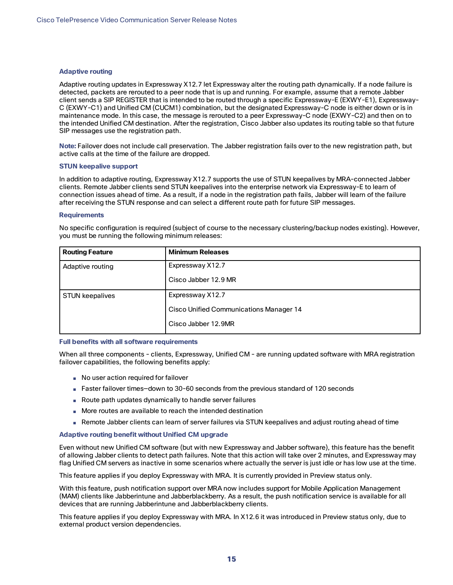#### **Adaptive routing**

Adaptive routing updates in Expressway X12.7 let Expressway alter the routing path dynamically. If a node failure is detected, packets are rerouted to a peer node that is up and running. For example, assume that a remote Jabber client sends a SIP REGISTER that is intended to be routed through a specific Expressway-E (EXWY-E1), Expressway-C (EXWY-C1) and Unified CM (CUCM1) combination, but the designated Expressway-C node is either down or is in maintenance mode. In this case, the message is rerouted to a peer Expressway-C node (EXWY-C2) and then on to the intended Unified CM destination. After the registration, Cisco Jabber also updates its routing table so that future SIP messages use the registration path.

**Note:** Failover does not include call preservation. The Jabber registration fails over to the new registration path, but active calls at the time of the failure are dropped.

#### **STUN keepalive support**

In addition to adaptive routing, Expressway X12.7 supports the use of STUN keepalives by MRA-connected Jabber clients. Remote Jabber clients send STUN keepalives into the enterprise network via Expressway-E to learn of connection issues ahead of time. As a result, if a node in the registration path fails, Jabber will learn of the failure after receiving the STUN response and can select a different route path for future SIP messages.

#### **Requirements**

No specific configuration is required (subject of course to the necessary clustering/backup nodes existing). However, you must be running the following minimum releases:

| <b>Routing Feature</b> | <b>Minimum Releases</b>                        |  |
|------------------------|------------------------------------------------|--|
| Adaptive routing       | Expressway X12.7                               |  |
|                        | Cisco Jabber 12.9 MR                           |  |
| <b>STUN keepalives</b> | Expressway X12.7                               |  |
|                        | <b>Cisco Unified Communications Manager 14</b> |  |
|                        | Cisco Jabber 12.9MR                            |  |

#### **Full benefits with all software requirements**

When all three components - clients, Expressway, Unified CM - are running updated software with MRA registration failover capabilities, the following benefits apply:

- No user action required for failover
- Faster failover times-down to 30-60 seconds from the previous standard of 120 seconds
- Route path updates dynamically to handle server failures
- More routes are available to reach the intended destination
- Remote Jabber clients can learn of server failures via STUN keepalives and adjust routing ahead of time

#### **Adaptive routing benefit without Unified CM upgrade**

Even without new Unified CM software (but with new Expressway and Jabber software), this feature has the benefit of allowing Jabber clients to detect path failures. Note that this action will take over 2 minutes, and Expressway may flag Unified CM servers as inactive in some scenarios where actually the server is just idle or has low use at the time.

This feature applies if you deploy Expressway with MRA. It is currently provided in Preview status only.

With this feature, push notification support over MRA now includes support for Mobile Application Management (MAM) clients like Jabberintune and Jabberblackberry. As a result, the push notification service is available for all devices that are running Jabberintune and Jabberblackberry clients.

This feature applies if you deploy Expressway with MRA. In X12.6 it was introduced in Preview status only, due to external product version dependencies.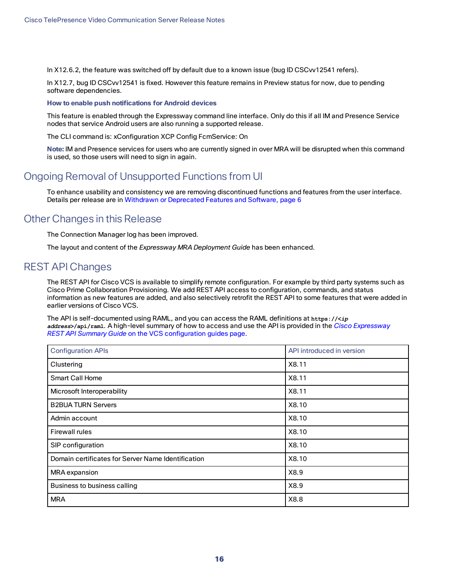In X12.6.2, the feature was switched off by default due to a known issue (bug ID CSCvv12541 refers).

In X12.7, bug ID CSCvv12541 is fixed. However this feature remains in Preview status for now, due to pending software dependencies.

#### **How to enable push notifications for Android devices**

This feature is enabled through the Expressway command line interface. Only do this if all IM and Presence Service nodes that service Android users are also running a supported release.

The CLI command is: xConfiguration XCP Config FcmService: On

**Note:** IM and Presence services for users who are currently signed in over MRA will be disrupted when this command is used, so those users will need to sign in again.

## <span id="page-15-0"></span>Ongoing Removal of Unsupported Functions from UI

To enhance usability and consistency we are removing discontinued functions and features from the user interface. Details per release are in Withdrawn or [Deprecated](#page-5-0) Features and Software, page 6

### <span id="page-15-1"></span>Other Changes in this Release

The Connection Manager log has been improved.

The layout and content of the *Expressway MRA Deployment Guide* has been enhanced.

### <span id="page-15-2"></span>REST API Changes

The REST API for Cisco VCS is available to simplify remote configuration. For example by third party systems such as Cisco Prime Collaboration Provisioning. We add REST API access to configuration, commands, and status information as new features are added, and also selectively retrofit the REST API to some features that were added in earlier versions of Cisco VCS.

The API is self-documented using RAML, and you can access the RAML definitions at **https://<***ip address***>/api/raml**. A high-level summary of how to access and use the API is provided in the *Cisco [Expressway](http://www.cisco.com/c/en/us/support/unified-communications/expressway-series/products-installation-and-configuration-guides-list.html) [REST API Summary](http://www.cisco.com/c/en/us/support/unified-communications/telepresence-video-communication-server-vcs/products-installation-and-configuration-guides-list.html) Guide* on the VCS configuration guides page.

| <b>Configuration APIs</b>                          | API introduced in version |  |
|----------------------------------------------------|---------------------------|--|
| Clustering                                         | X8.11                     |  |
| <b>Smart Call Home</b>                             | X8.11                     |  |
| Microsoft Interoperability                         | X8.11                     |  |
| <b>B2BUA TURN Servers</b>                          | X8.10                     |  |
| Admin account                                      | X8.10                     |  |
| <b>Firewall rules</b>                              | X8.10                     |  |
| SIP configuration                                  | X8.10                     |  |
| Domain certificates for Server Name Identification | X8.10                     |  |
| MRA expansion                                      | X8.9                      |  |
| Business to business calling                       | X8.9                      |  |
| <b>MRA</b>                                         | X8.8                      |  |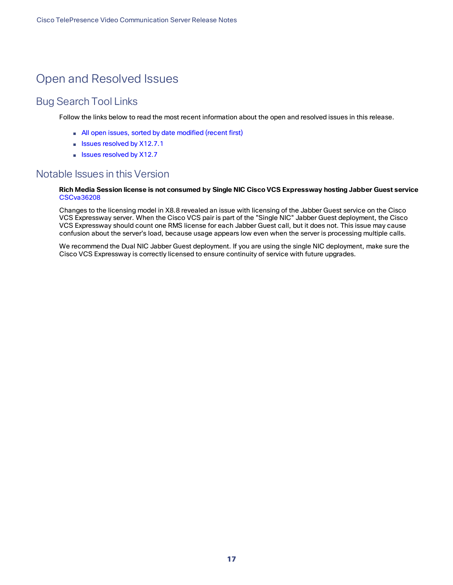## <span id="page-16-0"></span>Open and Resolved Issues

## <span id="page-16-1"></span>Bug Search Tool Links

Follow the links below to read the most recent information about the open and resolved issues in this release.

- All open issues, sorted by date [modified](https://tools.cisco.com/bugsearch/search?kw=*&pf=prdNm&pfVal=283613663&sb=anfr&sts=open&svr=3nH&srtBy=recMdf&bt=custV) (recent first)
- Issues [resolved](https://bst.cloudapps.cisco.com/bugsearch/search?kw=*&pf=prdNm&pfVal=283613663&rls=X12.7.1&sb=anfr&sts=fd&svr=3nH&srtBy=recMdf&bt=custV) by X12.7.1
- Issues [resolved](https://bst.cloudapps.cisco.com/bugsearch/search?kw=*&pf=prdNm&pfVal=283613663&rls=X12.7&sb=anfr&sts=fd&svr=3nH&srtBy=recMdf&bt=custV) by X12.7

### <span id="page-16-2"></span>Notable Issues in this Version

#### **Rich Media Session license is not consumed by Single NIC Cisco VCS Expressway hosting Jabber Guest service** [CSCva36208](https://tools.cisco.com/bugsearch/bug/CSCva36208)

Changes to the licensing model in X8.8 revealed an issue with licensing of the Jabber Guest service on the Cisco VCS Expressway server. When the Cisco VCS pair is part of the "Single NIC" Jabber Guest deployment, the Cisco VCS Expressway should count one RMS license for each Jabber Guest call, but it does not. This issue may cause confusion about the server's load, because usage appears low even when the server is processing multiple calls.

We recommend the Dual NIC Jabber Guest deployment. If you are using the single NIC deployment, make sure the Cisco VCS Expressway is correctly licensed to ensure continuity of service with future upgrades.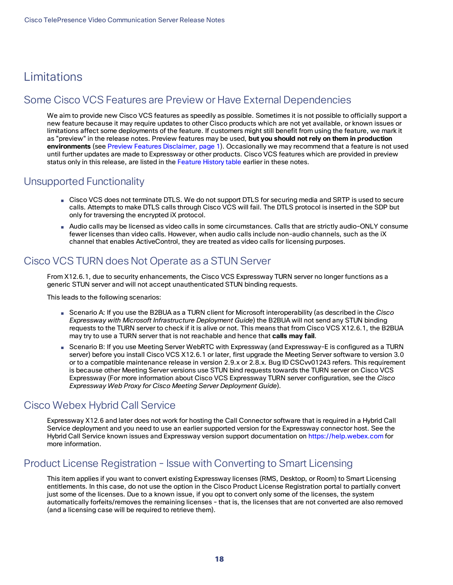## <span id="page-17-0"></span>Limitations

## <span id="page-17-1"></span>Some Cisco VCS Features are Preview or Have External Dependencies

We aim to provide new Cisco VCS features as speedily as possible. Sometimes it is not possible to officially support a new feature because it may require updates to other Cisco products which are not yet available, or known issues or limitations affect some deployments of the feature. If customers might still benefit from using the feature, we mark it as "preview" in the release notes. Preview features may be used, **but you should not rely on them in production environments** (see Preview Features [Disclaimer,](#page-0-0) page 1). Occasionally we may recommend that a feature is not used until further updates are made to Expressway or other products. Cisco VCS features which are provided in preview status only in this release, are listed in the Feature History table earlier in these notes.

### <span id="page-17-2"></span>Unsupported Functionality

- Cisco VCS does not terminate DTLS. We do not support DTLS for securing media and SRTP is used to secure calls. Attempts to make DTLS calls through Cisco VCS will fail. The DTLS protocol is inserted in the SDP but only for traversing the encrypted iX protocol.
- Audio calls may be licensed as video calls in some circumstances. Calls that are strictly audio-ONLY consume fewer licenses than video calls. However, when audio calls include non-audio channels, such as the iX channel that enables ActiveControl, they are treated as video calls for licensing purposes.

## <span id="page-17-3"></span>Cisco VCS TURN does Not Operate as a STUN Server

From X12.6.1, due to security enhancements, the Cisco VCS Expressway TURN server no longer functions as a generic STUN server and will not accept unauthenticated STUN binding requests.

This leads to the following scenarios:

- Scenario A: If you use the B2BUA as a TURN client for Microsoft interoperability (as described in the *Cisco Expressway with Microsoft Infrastructure Deployment Guide*) the B2BUA will not send any STUN binding requests to the TURN server to check if it is alive or not. This means that from Cisco VCS X12.6.1, the B2BUA may try to use a TURN server that is not reachable and hence that **calls may fail**.
- Scenario B: If you use Meeting Server WebRTC with Expressway (and Expressway-E is configured as a TURN server) before you install Cisco VCS X12.6.1 or later, first upgrade the Meeting Server software to version 3.0 or to a compatible maintenance release in version 2.9.x or 2.8.x. Bug ID CSCvv01243 refers. This requirement is because other Meeting Server versions use STUN bind requests towards the TURN server on Cisco VCS Expressway (For more information about Cisco VCS Expressway TURN server configuration, see the *Cisco Expressway Web Proxy for Cisco Meeting Server Deployment Guide*).

## <span id="page-17-4"></span>Cisco Webex Hybrid Call Service

Expressway X12.6 and later does not work for hosting the Call Connector software that is required in a Hybrid Call Service deployment and you need to use an earlier supported version for the Expressway connector host. See the Hybrid Call Service known issues and Expressway version support documentation on [https://help.webex.com](https://help.webex.com/) for more information.

## <span id="page-17-5"></span>Product License Registration - Issue with Converting to Smart Licensing

This item applies if you want to convert existing Expressway licenses (RMS, Desktop, or Room) to Smart Licensing entitlements. In this case, do not use the option in the Cisco Product License Registration portal to partially convert just some of the licenses. Due to a known issue, if you opt to convert only some of the licenses, the system automatically forfeits/removes the remaining licenses - that is, the licenses that are not converted are also removed (and a licensing case will be required to retrieve them).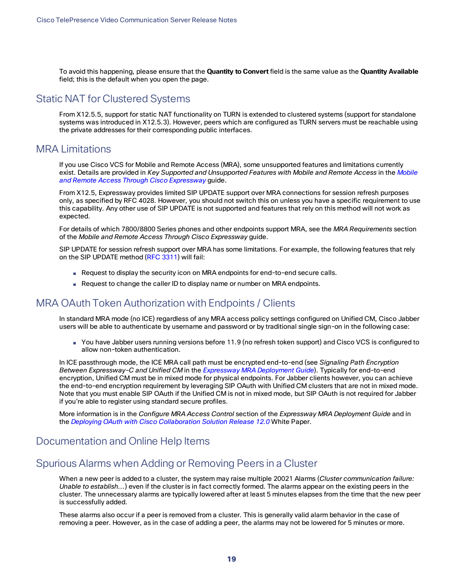To avoid this happening, please ensure that the **Quantity to Convert** field is the same value as the **Quantity Available** field; this is the default when you open the page.

### <span id="page-18-0"></span>Static NAT for Clustered Systems

From X12.5.5, support for static NAT functionality on TURN is extended to clustered systems (support for standalone systems was introduced in X12.5.3). However, peers which are configured as TURN servers must be reachable using the private addresses for their corresponding public interfaces.

### <span id="page-18-1"></span>MRA Limitations

If you use Cisco VCS for Mobile and Remote Access (MRA), some unsupported features and limitations currently exist. Details are provided in *Key Supported and Unsupported Features with Mobile and Remote Access* in the *[Mobile](http://www.cisco.com/c/en/us/support/unified-communications/expressway-series/products-installation-and-configuration-guides-list.html) and Remote Access Through Cisco [Expressway](http://www.cisco.com/c/en/us/support/unified-communications/expressway-series/products-installation-and-configuration-guides-list.html)* guide.

From X12.5, Expressway provides limited SIP UPDATE support over MRA connections for session refresh purposes only, as specified by RFC 4028. However, you should not switch this on unless you have a specific requirement to use this capability. Any other use of SIP UPDATE is not supported and features that rely on this method will not work as expected.

For details of which 7800/8800 Series phones and other endpoints support MRA, see the *MRA Requirements* section of the *Mobile and Remote Access Through Cisco Expressway* guide.

SIP UPDATE for session refresh support over MRA has some limitations. For example, the following features that rely on the SIP UPDATE method (RFC [3311](https://tools.ietf.org/html/rfc3311)) will fail:

- Request to display the security icon on MRA endpoints for end-to-end secure calls.
- Request to change the caller ID to display name or number on MRA endpoints.

## <span id="page-18-2"></span>MRA OAuth Token Authorization with Endpoints / Clients

In standard MRA mode (no ICE) regardless of any MRA access policy settings configured on Unified CM, Cisco Jabber users will be able to authenticate by username and password or by traditional single sign-on in the following case:

■ You have Jabber users running versions before 11.9 (no refresh token support) and Cisco VCS is configured to allow non-token authentication.

In ICE passthrough mode, the ICE MRA call path must be encrypted end-to-end (see *Signaling Path Encryption Between Expressway-C and Unified CM* in the *[Expressway](https://www.cisco.com/c/en/us/support/unified-communications/expressway-series/products-installation-and-configuration-guides-list.html) MRA Deployment Guide*). Typically for end-to-end encryption, Unified CM must be in mixed mode for physical endpoints. For Jabber clients however, you can achieve the end-to-end encryption requirement by leveraging SIP OAuth with Unified CM clusters that are not in mixed mode. Note that you must enable SIP OAuth if the Unified CM is not in mixed mode, but SIP OAuth is not required for Jabber if you're able to register using standard secure profiles.

More information is in the *Configure MRA Access Control* section of the *Expressway MRA Deployment Guide* and in the *Deploying OAuth with Cisco Collaboration Solution Release 12.0* White Paper.

### <span id="page-18-3"></span>Documentation and Online Help Items

### <span id="page-18-4"></span>Spurious Alarms when Adding or Removing Peers in a Cluster

When a new peer is added to a cluster, the system may raise multiple 20021 Alarms (*Cluster communication failure: Unable to establish...*) even if the cluster is in fact correctly formed. The alarms appear on the existing peers in the cluster. The unnecessary alarms are typically lowered after at least 5 minutes elapses from the time that the new peer is successfully added.

These alarms also occur if a peer is removed from a cluster. This is generally valid alarm behavior in the case of removing a peer. However, as in the case of adding a peer, the alarms may not be lowered for 5 minutes or more.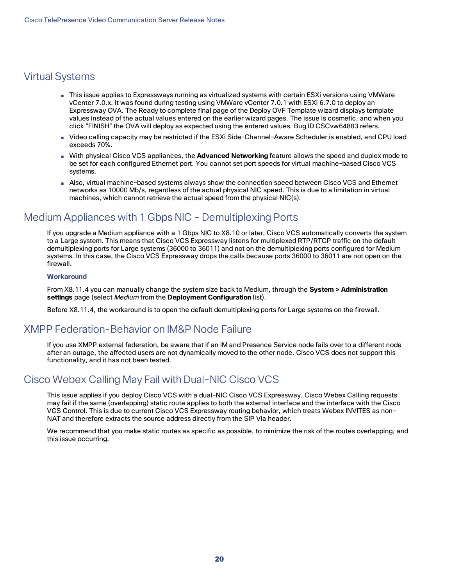## <span id="page-19-0"></span>Virtual Systems

- This issue applies to Expressways running as virtualized systems with certain ESXi versions using VMWare vCenter 7.0.x. It was found during testing using VMWare vCenter 7.0.1 with ESXi 6.7.0 to deploy an Expressway OVA. The Ready to complete final page of the Deploy OVF Template wizard displays template values instead of the actual values entered on the earlier wizard pages. The issue is cosmetic, and when you click "FINISH" the OVA will deploy as expected using the entered values. Bug ID CSCvw64883 refers.
- Video calling capacity may be restricted if the ESXi Side-Channel-Aware Scheduler is enabled, and CPU load exceeds 70%.
- With physical Cisco VCS appliances, the **Advanced Networking** feature allows the speed and duplex mode to be set for each configured Ethernet port. You cannot set port speeds for virtual machine-based Cisco VCS systems.
- Also, virtual machine-based systems always show the connection speed between Cisco VCS and Ethernet networks as 10000 Mb/s, regardless of the actual physical NIC speed. This is due to a limitation in virtual machines, which cannot retrieve the actual speed from the physical NIC(s).

## <span id="page-19-1"></span>Medium Appliances with 1 Gbps NIC - Demultiplexing Ports

If you upgrade a Medium appliance with a 1 Gbps NIC to X8.10 or later, Cisco VCS automatically converts the system to a Large system. This means that Cisco VCS Expressway listens for multiplexed RTP/RTCP traffic on the default demultiplexing ports for Large systems (36000 to 36011) and not on the demultiplexing ports configured for Medium systems. In this case, the Cisco VCS Expressway drops the calls because ports 36000 to 36011 are not open on the firewall.

#### **Workaround**

From X8.11.4 you can manually change the system size back to Medium, through the **System > Administration settings** page (select *Medium* from the **Deployment Configuration** list).

Before X8.11.4, the workaround is to open the default demultiplexing ports for Large systems on the firewall.

## <span id="page-19-2"></span>XMPP Federation-Behavior on IM&P Node Failure

If you use XMPP external federation, be aware that if an IM and Presence Service node fails over to a different node after an outage, the affected users are not dynamically moved to the other node. Cisco VCS does not support this functionality, and it has not been tested.

## <span id="page-19-3"></span>Cisco Webex Calling May Fail with Dual-NIC Cisco VCS

This issue applies if you deploy Cisco VCS with a dual-NIC Cisco VCS Expressway. Cisco Webex Calling requests may fail if the same (overlapping) static route applies to both the external interface and the interface with the Cisco VCS Control. This is due to current Cisco VCS Expressway routing behavior, which treats Webex INVITES as non-NAT and therefore extracts the source address directly from the SIP Via header.

We recommend that you make static routes as specific as possible, to minimize the risk of the routes overlapping, and this issue occurring.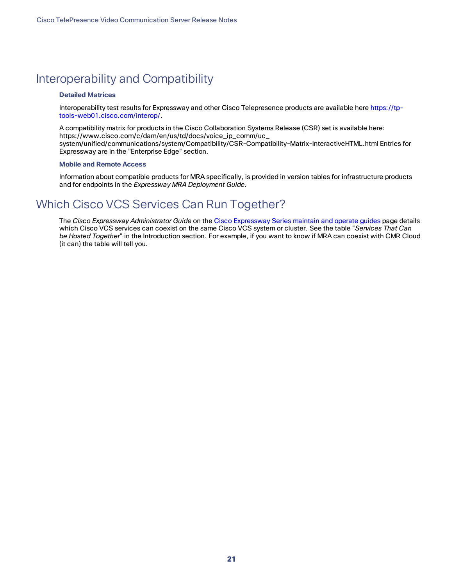## <span id="page-20-0"></span>Interoperability and Compatibility

#### **Detailed Matrices**

Interoperability test results for Expressway and other Cisco Telepresence products are available here [https://tp](https://tp-tools-web01.cisco.com/interop/)[tools-web01.cisco.com/interop/.](https://tp-tools-web01.cisco.com/interop/)

A compatibility matrix for products in the Cisco Collaboration Systems Release (CSR) set is available here: https://www.cisco.com/c/dam/en/us/td/docs/voice\_ip\_comm/uc\_ system/unified/communications/system/Compatibility/CSR-Compatibility-Matrix-InteractiveHTML.html Entries for Expressway are in the "Enterprise Edge" section.

#### **Mobile and Remote Access**

Information about compatible products for MRA specifically, is provided in version tables for infrastructure products and for endpoints in the *Expressway MRA Deployment Guide*.

## <span id="page-20-1"></span>Which Cisco VCS Services Can Run Together?

The *Cisco Expressway Administrator Guide* on the Cisco [Expressway](http://www.cisco.com/c/en/us/support/unified-communications/expressway-series/products-maintenance-guides-list.html) Series maintain and operate guides page details which Cisco VCS services can coexist on the same Cisco VCS system or cluster. See the table "*Services That Can be Hosted Together*" in the Introduction section. For example, if you want to know if MRA can coexist with CMR Cloud (it can) the table will tell you.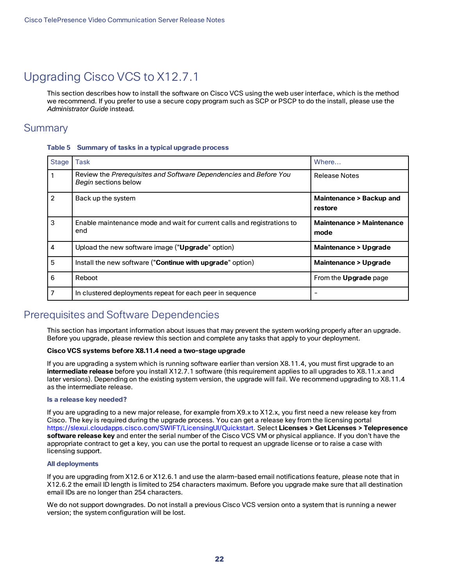## <span id="page-21-0"></span>Upgrading Cisco VCS to X12.7.1

This section describes how to install the software on Cisco VCS using the web user interface, which is the method we recommend. If you prefer to use a secure copy program such as SCP or PSCP to do the install, please use the *Administrator Guide* instead.

### <span id="page-21-1"></span>**Summary**

#### **Table 5 Summary of tasks in a typical upgrade process**

| <b>Stage</b>   | <b>Task</b>                                                                               | Where                                       |
|----------------|-------------------------------------------------------------------------------------------|---------------------------------------------|
|                | Review the Prerequisites and Software Dependencies and Before You<br>Begin sections below | <b>Release Notes</b>                        |
| $\overline{2}$ | Back up the system                                                                        | Maintenance > Backup and<br>restore         |
| 3              | Enable maintenance mode and wait for current calls and registrations to<br>end            | <b>Maintenance &gt; Maintenance</b><br>mode |
| 4              | Upload the new software image ("Upgrade" option)                                          | <b>Maintenance &gt; Upgrade</b>             |
| 5              | Install the new software ("Continue with upgrade" option)                                 | <b>Maintenance &gt; Upgrade</b>             |
| 6              | Reboot                                                                                    | From the <b>Upgrade</b> page                |
|                | In clustered deployments repeat for each peer in sequence                                 |                                             |

### <span id="page-21-2"></span>Prerequisites and Software Dependencies

This section has important information about issues that may prevent the system working properly after an upgrade. Before you upgrade, please review this section and complete any tasks that apply to your deployment.

#### **Cisco VCS systems before X8.11.4 need a two-stage upgrade**

If you are upgrading a system which is running software earlier than version X8.11.4, you must first upgrade to an **intermediate release** before you install X12.7.1 software (this requirement applies to all upgrades to X8.11.x and later versions). Depending on the existing system version, the upgrade will fail. We recommend upgrading to X8.11.4 as the intermediate release.

#### **Is a release key needed?**

If you are upgrading to a new major release, for example from X9.x to X12.x, you first need a new release key from Cisco. The key is required during the upgrade process. You can get a release key from the licensing portal https://slexui.cloudapps.cisco.com/SWIFT/LicensingUI/Quickstart. Select **Licenses > Get Licenses > Telepresence software release key** and enter the serial number of the Cisco VCS VM or physical appliance. If you don't have the appropriate contract to get a key, you can use the portal to request an upgrade license or to raise a case with licensing support.

#### **All deployments**

If you are upgrading from X12.6 or X12.6.1 and use the alarm-based email notifications feature, please note that in X12.6.2 the email ID length is limited to 254 characters maximum. Before you upgrade make sure that all destination email IDs are no longer than 254 characters.

We do not support downgrades. Do not install a previous Cisco VCS version onto a system that is running a newer version; the system configuration will be lost.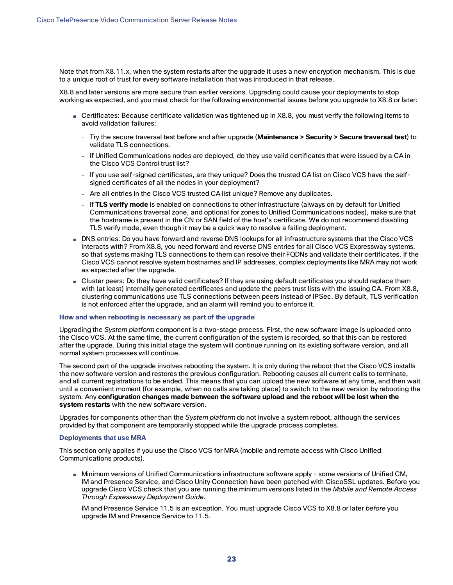Note that from X8.11.x, when the system restarts after the upgrade it uses a new encryption mechanism. This is due to a unique root of trust for every software installation that was introduced in that release.

X8.8 and later versions are more secure than earlier versions. Upgrading could cause your deployments to stop working as expected, and you must check for the following environmental issues before you upgrade to X8.8 or later:

- Certificates: Because certificate validation was tightened up in X8.8, you must verify the following items to avoid validation failures:
	- Try the secure traversal test before and after upgrade (**Maintenance > Security > Secure traversal test**) to validate TLS connections.
	- If Unified Communications nodes are deployed, do they use valid certificates that were issued by a CA in the Cisco VCS Control trust list?
	- If you use self-signed certificates, are they unique? Does the trusted CA list on Cisco VCS have the selfsigned certificates of all the nodes in your deployment?
	- Are all entries in the Cisco VCS trusted CA list unique? Remove any duplicates.
	- If **TLS verify mode** is enabled on connections to other infrastructure (always on by default for Unified Communications traversal zone, and optional for zones to Unified Communications nodes), make sure that the hostname is present in the CN or SAN field of the host's certificate. We do not recommend disabling TLS verify mode, even though it may be a quick way to resolve a failing deployment.
- DNS entries: Do you have forward and reverse DNS lookups for all infrastructure systems that the Cisco VCS interacts with? From X8.8, you need forward and reverse DNS entries for all Cisco VCS Expressway systems, so that systems making TLS connections to them can resolve their FQDNs and validate their certificates. If the Cisco VCS cannot resolve system hostnames and IP addresses, complex deployments like MRA may not work as expected after the upgrade.
- Cluster peers: Do they have valid certificates? If they are using default certificates you should replace them with (at least) internally generated certificates and update the peers trust lists with the issuing CA. From X8.8, clustering communications use TLS connections between peers instead of IPSec. By default, TLS verification is not enforced after the upgrade, and an alarm will remind you to enforce it.

#### **How and when rebooting is necessary as part of the upgrade**

Upgrading the *System platform* component is a two-stage process. First, the new software image is uploaded onto the Cisco VCS. At the same time, the current configuration of the system is recorded, so that this can be restored after the upgrade. During this initial stage the system will continue running on its existing software version, and all normal system processes will continue.

The second part of the upgrade involves rebooting the system. It is only during the reboot that the Cisco VCS installs the new software version and restores the previous configuration. Rebooting causes all current calls to terminate, and all current registrations to be ended. This means that you can upload the new software at any time, and then wait until a convenient moment (for example, when no calls are taking place) to switch to the new version by rebooting the system. Any **configuration changes made between the software upload and the reboot will be lost when the system restarts** with the new software version.

Upgrades for components other than the *System platform* do not involve a system reboot, although the services provided by that component are temporarily stopped while the upgrade process completes.

#### **Deployments that use MRA**

This section only applies if you use the Cisco VCS for MRA (mobile and remote access with Cisco Unified Communications products).

■ Minimum versions of Unified Communications infrastructure software apply - some versions of Unified CM, IM and Presence Service, and Cisco Unity Connection have been patched with CiscoSSL updates. Before you upgrade Cisco VCS check that you are running the minimum versions listed in the *Mobile and Remote Access Through Expressway Deployment Guide*.

IM and Presence Service 11.5 is an exception. You must upgrade Cisco VCS to X8.8 or later *before* you upgrade IM and Presence Service to 11.5.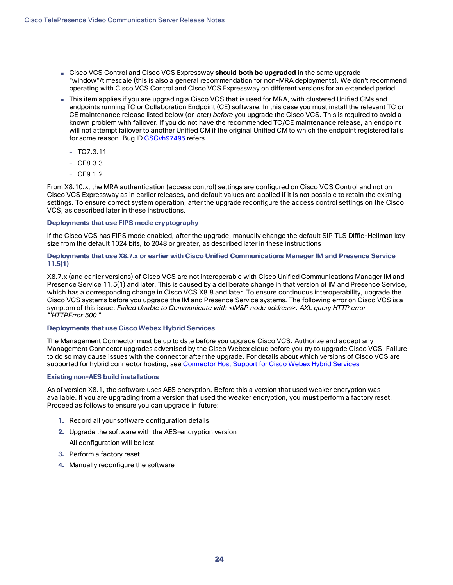- Cisco VCS Control and Cisco VCS Expressway **should both be upgraded** in the same upgrade "window"/timescale (this is also a general recommendation for non-MRA deployments). We don't recommend operating with Cisco VCS Control and Cisco VCS Expressway on different versions for an extended period.
- This item applies if you are upgrading a Cisco VCS that is used for MRA, with clustered Unified CMs and endpoints running TC or Collaboration Endpoint (CE) software. In this case you must install the relevant TC or CE maintenance release listed below (or later) *before* you upgrade the Cisco VCS. This is required to avoid a known problem with failover. If you do not have the recommended TC/CE maintenance release, an endpoint will not attempt failover to another Unified CM if the original Unified CM to which the endpoint registered fails for some reason. Bug ID [CSCvh97495](https://bst.cloudapps.cisco.com/bugsearch/bug/CSCvh97495) refers.
	- $TO7.3.11$
	- $-$  CE8.3.3
	- $-$  CE9.1.2

From X8.10.x, the MRA authentication (access control) settings are configured on Cisco VCS Control and not on Cisco VCS Expressway as in earlier releases, and default values are applied if it is not possible to retain the existing settings. To ensure correct system operation, after the upgrade reconfigure the access control settings on the Cisco VCS, as described later in these instructions.

#### **Deployments that use FIPS mode cryptography**

If the Cisco VCS has FIPS mode enabled, after the upgrade, manually change the default SIP TLS Diffie-Hellman key size from the default 1024 bits, to 2048 or greater, as described later in these instructions

#### **Deployments that use X8.7.x or earlier with Cisco Unified Communications Manager IM and Presence Service 11.5(1)**

X8.7.x (and earlier versions) of Cisco VCS are not interoperable with Cisco Unified Communications Manager IM and Presence Service 11.5(1) and later. This is caused by a deliberate change in that version of IM and Presence Service, which has a corresponding change in Cisco VCS X8.8 and later. To ensure continuous interoperability, upgrade the Cisco VCS systems before you upgrade the IM and Presence Service systems. The following error on Cisco VCS is a symptom of this issue: *Failed Unable to Communicate with <IM&P node address>. AXL query HTTP error "'HTTPError:500'"*

#### **Deployments that use Cisco Webex Hybrid Services**

The Management Connector must be up to date before you upgrade Cisco VCS. Authorize and accept any Management Connector upgrades advertised by the Cisco Webex cloud before you try to upgrade Cisco VCS. Failure to do so may cause issues with the connector after the upgrade. For details about which versions of Cisco VCS are supported for hybrid connector hosting, see [Connector](https://collaborationhelp.cisco.com/article/en-us/ruyceab) Host Support for Cisco Webex Hybrid Services

#### **Existing non-AES build installations**

As of version X8.1, the software uses AES encryption. Before this a version that used weaker encryption was available. If you are upgrading from a version that used the weaker encryption, you **must** perform a factory reset. Proceed as follows to ensure you can upgrade in future:

- **1.** Record all your software configuration details
- **2.** Upgrade the software with the AES-encryption version

All configuration will be lost

- **3.** Perform a factory reset
- **4.** Manually reconfigure the software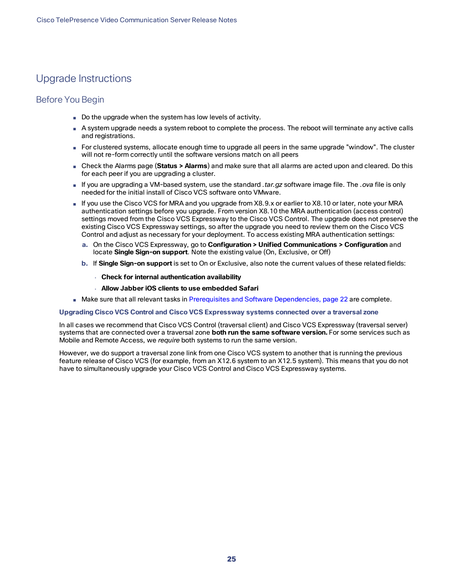## <span id="page-24-0"></span>Upgrade Instructions

#### Before You Begin

- Do the upgrade when the system has low levels of activity.
- A system upgrade needs a system reboot to complete the process. The reboot will terminate any active calls and registrations.
- For clustered systems, allocate enough time to upgrade all peers in the same upgrade "window". The cluster will not re-form correctly until the software versions match on all peers
- Check the Alarms page (**Status > Alarms**) and make sure that all alarms are acted upon and cleared. Do this for each peer if you are upgrading a cluster.
- If you are upgrading a VM-based system, use the standard *.tar.gz* software image file. The *.ova* file is only needed for the initial install of Cisco VCS software onto VMware.
- If you use the Cisco VCS for MRA and you upgrade from X8.9.x or earlier to X8.10 or later, note your MRA authentication settings before you upgrade. From version X8.10 the MRA authentication (access control) settings moved from the Cisco VCS Expressway to the Cisco VCS Control. The upgrade does not preserve the existing Cisco VCS Expressway settings, so after the upgrade you need to review them on the Cisco VCS Control and adjust as necessary for your deployment. To access existing MRA authentication settings:
	- **a.** On the Cisco VCS Expressway, go to **Configuration > Unified Communications > Configuration** and locate **Single Sign-on support**. Note the existing value (On, Exclusive, or Off)
	- **b.** If **Single Sign-on support** is set to On or Exclusive, also note the current values of these related fields:
		- **Check for internal authentication availability**
		- **Allow Jabber iOS clients to use embedded Safari**
- Make sure that all relevant tasks in Prerequisites and Software [Dependencies,](#page-21-2) page 22 are complete.

#### **Upgrading Cisco VCS Control and Cisco VCS Expressway systems connected over a traversal zone**

In all cases we recommend that Cisco VCS Control (traversal client) and Cisco VCS Expressway (traversal server) systems that are connected over a traversal zone **both run the same software version.** For some services such as Mobile and Remote Access, we *require* both systems to run the same version.

However, we do support a traversal zone link from one Cisco VCS system to another that is running the previous feature release of Cisco VCS (for example, from an X12.6 system to an X12.5 system). This means that you do not have to simultaneously upgrade your Cisco VCS Control and Cisco VCS Expressway systems.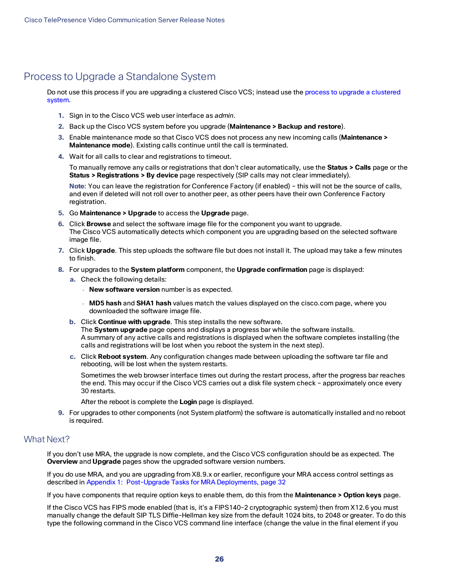## <span id="page-25-0"></span>Process to Upgrade a Standalone System

Do not use this process if you are upgrading a clustered Cisco VCS; instead use the process to upgrade a [clustered](#page-27-0) [system](#page-27-0).

- **1.** Sign in to the Cisco VCS web user interface as *admin*.
- **2.** Back up the Cisco VCS system before you upgrade (**Maintenance > Backup and restore**).
- **3.** Enable maintenance mode so that Cisco VCS does not process any new incoming calls (**Maintenance > Maintenance mode**). Existing calls continue until the call is terminated.
- **4.** Wait for all calls to clear and registrations to timeout.

To manually remove any calls or registrations that don't clear automatically, use the **Status > Calls** page or the **Status > Registrations > By device** page respectively (SIP calls may not clear immediately).

**Note**: You can leave the registration for Conference Factory (if enabled) – this will not be the source of calls, and even if deleted will not roll over to another peer, as other peers have their own Conference Factory registration.

- **5.** Go **Maintenance > Upgrade** to access the **Upgrade** page.
- **6.** Click **Browse** and select the software image file for the component you want to upgrade. The Cisco VCS automatically detects which component you are upgrading based on the selected software image file.
- **7.** Click **Upgrade**. This step uploads the software file but does not install it. The upload may take a few minutes to finish.
- **8.** For upgrades to the **System platform** component, the **Upgrade confirmation** page is displayed:
	- **a.** Check the following details:
		- **New software version** number is as expected.
		- **MD5 hash** and **SHA1 hash** values match the values displayed on the cisco.com page, where you downloaded the software image file.
	- **b.** Click **Continue with upgrade**. This step installs the new software. The **System upgrade** page opens and displays a progress bar while the software installs.

A summary of any active calls and registrations is displayed when the software completes installing (the calls and registrations will be lost when you reboot the system in the next step).

**c.** Click **Reboot system**. Any configuration changes made between uploading the software tar file and rebooting, will be lost when the system restarts.

Sometimes the web browser interface times out during the restart process, after the progress bar reaches the end. This may occur if the Cisco VCS carries out a disk file system check – approximately once every 30 restarts.

- After the reboot is complete the **Login** page is displayed.
- **9.** For upgrades to other components (not System platform) the software is automatically installed and no reboot is required.

#### What Next?

If you don't use MRA, the upgrade is now complete, and the Cisco VCS configuration should be as expected. The **Overview** and **Upgrade** pages show the upgraded software version numbers.

If you do use MRA, and you are upgrading from X8.9.x or earlier, reconfigure your MRA access control settings as described in Appendix [1: Post-Upgrade](#page-31-0) Tasks for MRA Deployments, page 32

If you have components that require option keys to enable them, do this from the **Maintenance > Option keys** page.

If the Cisco VCS has FIPS mode enabled (that is, it's a FIPS140-2 cryptographic system) then from X12.6 you must manually change the default SIP TLS Diffie-Hellman key size from the default 1024 bits, to 2048 or greater. To do this type the following command in the Cisco VCS command line interface (change the value in the final element if you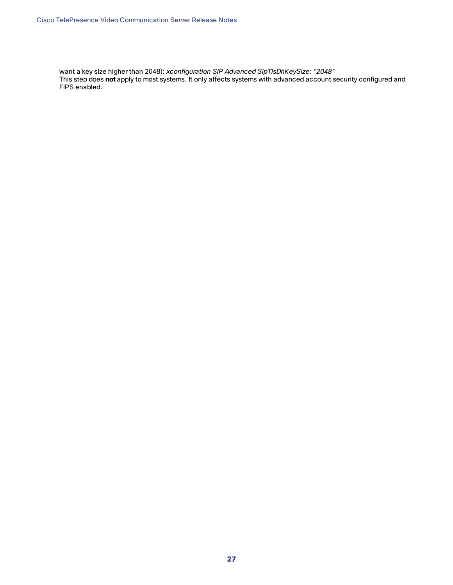want a key size higher than 2048): *xconfiguration SIP Advanced SipTlsDhKeySize: "2048"* This step does **not** apply to most systems. It only affects systems with advanced account security configured and FIPS enabled.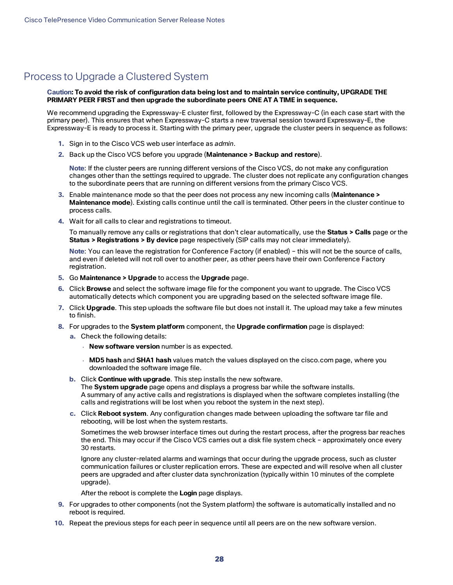## <span id="page-27-0"></span>Process to Upgrade a Clustered System

#### Caution: To avoid the risk of configuration data being lost and to maintain service continuity, UPGRADE THE **PRIMARY PEER FIRST and then upgrade the subordinate peers ONE AT A TIME in sequence.**

We recommend upgrading the Expressway-E cluster first, followed by the Expressway-C (in each case start with the primary peer). This ensures that when Expressway-C starts a new traversal session toward Expressway-E, the Expressway-E is ready to process it. Starting with the primary peer, upgrade the cluster peers in sequence as follows:

- **1.** Sign in to the Cisco VCS web user interface as *admin*.
- **2.** Back up the Cisco VCS before you upgrade (**Maintenance > Backup and restore**).

**Note**: If the cluster peers are running different versions of the Cisco VCS, do not make any configuration changes other than the settings required to upgrade. The cluster does not replicate any configuration changes to the subordinate peers that are running on different versions from the primary Cisco VCS.

- **3.** Enable maintenance mode so that the peer does not process any new incoming calls (**Maintenance > Maintenance mode**). Existing calls continue until the call is terminated. Other peers in the cluster continue to process calls.
- **4.** Wait for all calls to clear and registrations to timeout.

To manually remove any calls or registrations that don't clear automatically, use the **Status > Calls** page or the **Status > Registrations > By device** page respectively (SIP calls may not clear immediately).

**Note**: You can leave the registration for Conference Factory (if enabled) – this will not be the source of calls, and even if deleted will not roll over to another peer, as other peers have their own Conference Factory registration.

- **5.** Go **Maintenance > Upgrade** to access the **Upgrade** page.
- **6.** Click **Browse** and select the software image file for the component you want to upgrade. The Cisco VCS automatically detects which component you are upgrading based on the selected software image file.
- **7.** Click **Upgrade**. This step uploads the software file but does not install it. The upload may take a few minutes to finish.
- **8.** For upgrades to the **System platform** component, the **Upgrade confirmation** page is displayed:
	- **a.** Check the following details:
		- **New software version** number is as expected.
		- **MD5 hash** and **SHA1 hash** values match the values displayed on the cisco.com page, where you downloaded the software image file.
	- **b.** Click **Continue with upgrade**. This step installs the new software.

The **System upgrade** page opens and displays a progress bar while the software installs. A summary of any active calls and registrations is displayed when the software completes installing (the calls and registrations will be lost when you reboot the system in the next step).

**c.** Click **Reboot system**. Any configuration changes made between uploading the software tar file and rebooting, will be lost when the system restarts.

Sometimes the web browser interface times out during the restart process, after the progress bar reaches the end. This may occur if the Cisco VCS carries out a disk file system check – approximately once every 30 restarts.

Ignore any cluster-related alarms and warnings that occur during the upgrade process, such as cluster communication failures or cluster replication errors. These are expected and will resolve when all cluster peers are upgraded and after cluster data synchronization (typically within 10 minutes of the complete upgrade).

After the reboot is complete the **Login** page displays.

- **9.** For upgrades to other components (not the System platform) the software is automatically installed and no reboot is required.
- **10.** Repeat the previous steps for each peer in sequence until all peers are on the new software version.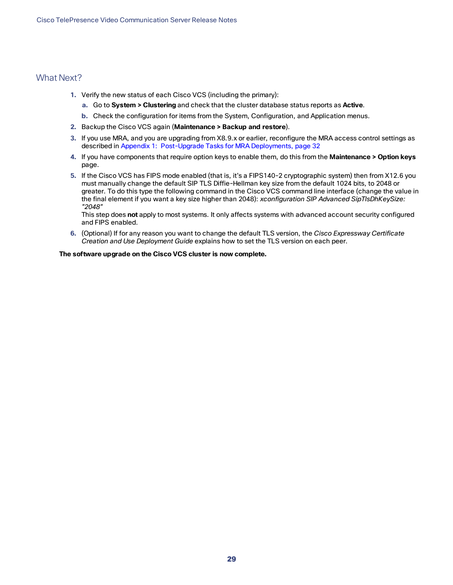#### What Next?

- **1.** Verify the new status of each Cisco VCS (including the primary):
	- **a.** Go to **System > Clustering** and check that the cluster database status reports as **Active**.
	- **b.** Check the configuration for items from the System, Configuration, and Application menus.
- **2.** Backup the Cisco VCS again (**Maintenance > Backup and restore**).
- **3.** If you use MRA, and you are upgrading from X8.9.x or earlier, reconfigure the MRA access control settings as described in Appendix [1: Post-Upgrade](#page-31-0) Tasks for MRA Deployments, page 32
- **4.** If you have components that require option keys to enable them, do this from the **Maintenance > Option keys** page.
- **5.** If the Cisco VCS has FIPS mode enabled (that is, it's a FIPS140-2 cryptographic system) then from X12.6 you must manually change the default SIP TLS Diffie-Hellman key size from the default 1024 bits, to 2048 or greater. To do this type the following command in the Cisco VCS command line interface (change the value in the final element if you want a key size higher than 2048): *xconfiguration SIP Advanced SipTlsDhKeySize: "2048"*

This step does **not** apply to most systems. It only affects systems with advanced account security configured and FIPS enabled.

**6.** (Optional) If for any reason you want to change the default TLS version, the *Cisco Expressway Certificate Creation and Use Deployment Guide* explains how to set the TLS version on each peer.

#### **The software upgrade on the Cisco VCS cluster is now complete.**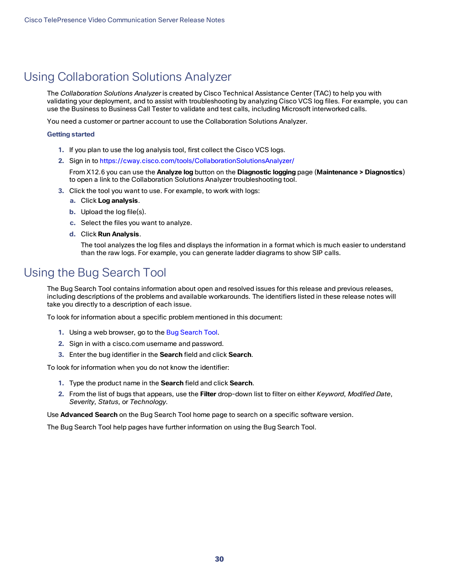## <span id="page-29-0"></span>Using Collaboration Solutions Analyzer

The *Collaboration Solutions Analyzer* is created by Cisco Technical Assistance Center (TAC) to help you with validating your deployment, and to assist with troubleshooting by analyzing Cisco VCS log files. For example, you can use the Business to Business Call Tester to validate and test calls, including Microsoft interworked calls.

You need a customer or partner account to use the Collaboration Solutions Analyzer.

#### **Getting started**

- **1.** If you plan to use the log analysis tool, first collect the Cisco VCS logs.
- **2.** Sign in to <https://cway.cisco.com/tools/CollaborationSolutionsAnalyzer/>

From X12.6 you can use the **Analyze log** button on the **Diagnostic logging** page (**Maintenance > Diagnostics**) to open a link to the Collaboration Solutions Analyzer troubleshooting tool.

- **3.** Click the tool you want to use. For example, to work with logs:
	- **a.** Click **Log analysis**.
	- **b.** Upload the log file(s).
	- **c.** Select the files you want to analyze.
	- **d.** Click **Run Analysis**.

The tool analyzes the log files and displays the information in a format which is much easier to understand than the raw logs. For example, you can generate ladder diagrams to show SIP calls.

## <span id="page-29-1"></span>Using the Bug Search Tool

The Bug Search Tool contains information about open and resolved issues for this release and previous releases, including descriptions of the problems and available workarounds. The identifiers listed in these release notes will take you directly to a description of each issue.

To look for information about a specific problem mentioned in this document:

- **1.** Using a web browser, go to the Bug [Search](https://tools.cisco.com/bugsearch/) Tool.
- **2.** Sign in with a cisco.com username and password.
- **3.** Enter the bug identifier in the **Search** field and click **Search**.

To look for information when you do not know the identifier:

- **1.** Type the product name in the **Search** field and click **Search**.
- **2.** From the list of bugs that appears, use the **Filter** drop-down list to filter on either *Keyword*, *Modified Date*, *Severity*, *Status*, or *Technology*.

Use **Advanced Search** on the Bug Search Tool home page to search on a specific software version.

The Bug Search Tool help pages have further information on using the Bug Search Tool.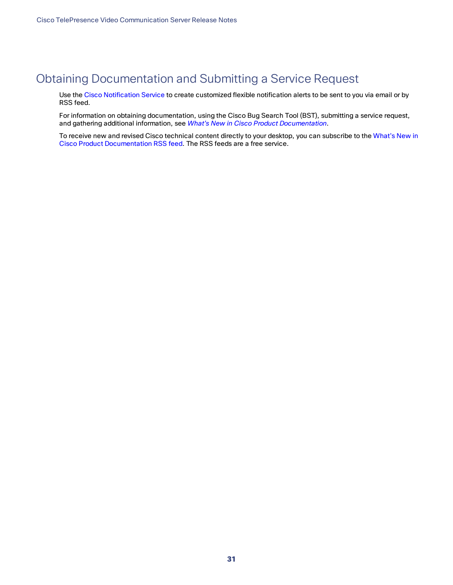## <span id="page-30-0"></span>Obtaining Documentation and Submitting a Service Request

Use the Cisco [Notification](http://www.cisco.com/cisco/support/notifications.html) Service to create customized flexible notification alerts to be sent to you via email or by RSS feed.

For information on obtaining documentation, using the Cisco Bug Search Tool (BST), submitting a service request, and gathering additional information, see *What's New in Cisco Product [Documentation](http://www.cisco.com/c/en/us/td/docs/general/whatsnew/whatsnew.html)*.

To receive new and revised Cisco technical content directly to your desktop, you can subscribe to the [What's](http://www.cisco.com/assets/cdc_content_elements/rss/whats_new/whatsnew_rss_feed.xml) New in Cisco Product [Documentation](http://www.cisco.com/assets/cdc_content_elements/rss/whats_new/whatsnew_rss_feed.xml) RSS feed. The RSS feeds are a free service.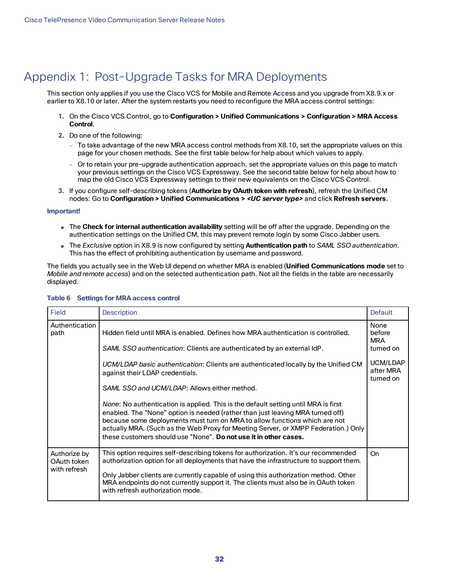## <span id="page-31-0"></span>Appendix 1: Post-Upgrade Tasks for MRA Deployments

This section only applies if you use the Cisco VCS for Mobile and Remote Access and you upgrade from X8.9.x or earlier to X8.10 or later. After the system restarts you need to reconfigure the MRA access control settings:

- **1.** On the Cisco VCS Control, go to **Configuration > Unified Communications > Configuration > MRA Access Control**.
- **2.** Do one of the following:
	- To take advantage of the new MRA access control methods from X8.10, set the appropriate values on this page for your chosen methods. See the first table below for help about which values to apply.
	- Or to retain your pre-upgrade authentication approach, set the appropriate values on this page to match your previous settings on the Cisco VCS Expressway. See the second table below for help about how to map the old Cisco VCS Expressway settings to their new equivalents on the Cisco VCS Control.
- **3.** If you configure self-describing tokens (**Authorize by OAuth token with refresh**), refresh the Unified CM nodes: Go to **Configuration > Unified Communications >** *<UC server type>* and click **Refresh servers**.

#### **Important!**

- The **Check for internal authentication availability** setting will be off after the upgrade. Depending on the authentication settings on the Unified CM, this may prevent remote login by some Cisco Jabber users.
- The *Exclusive* option in X8.9 is now configured by setting **Authentication path** to *SAML SSO authentication*. This has the effect of prohibiting authentication by username and password.

The fields you actually see in the Web UI depend on whether MRA is enabled (**Unified Communications mode** set to *Mobile and remote access*) and on the selected authentication path. Not all the fields in the table are necessarily displayed.

| Field                                       | <b>Description</b>                                                                                                                                                                                                                                                                                                                                                                             | Default                                               |
|---------------------------------------------|------------------------------------------------------------------------------------------------------------------------------------------------------------------------------------------------------------------------------------------------------------------------------------------------------------------------------------------------------------------------------------------------|-------------------------------------------------------|
| Authentication<br>path                      | Hidden field until MRA is enabled. Defines how MRA authentication is controlled.<br>SAML SSO authentication: Clients are authenticated by an external IdP.<br>UCM/LDAP basic authentication: Clients are authenticated locally by the Unified CM                                                                                                                                               | None<br>before<br><b>MRA</b><br>turned on<br>UCM/LDAP |
|                                             | against their LDAP credentials.<br>SAML SSO and UCM/LDAP: Allows either method.<br><i>None</i> : No authentication is applied. This is the default setting until MRA is first                                                                                                                                                                                                                  | after MRA<br>turned on                                |
|                                             | enabled. The "None" option is needed (rather than just leaving MRA turned off)<br>because some deployments must turn on MRA to allow functions which are not<br>actually MRA. (Such as the Web Proxy for Meeting Server, or XMPP Federation.) Only<br>these customers should use "None". Do not use it in other cases.                                                                         |                                                       |
| Authorize by<br>OAuth token<br>with refresh | This option requires self-describing tokens for authorization. It's our recommended<br>authorization option for all deployments that have the infrastructure to support them.<br>Only Jabber clients are currently capable of using this authorization method. Other<br>MRA endpoints do not currently support it. The clients must also be in OAuth token<br>with refresh authorization mode. | On                                                    |

#### **Table 6 Settings for MRA access control**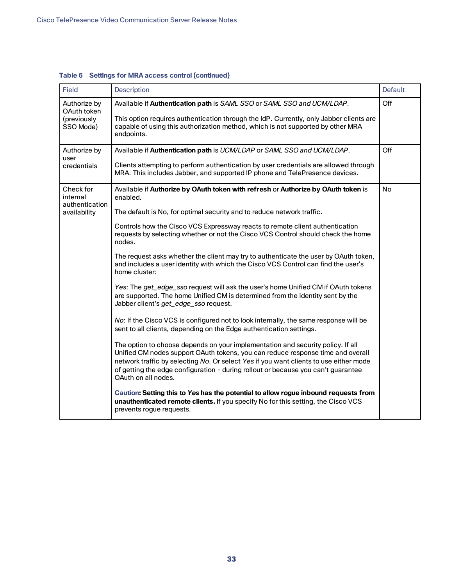| <b>Field</b>                   | <b>Description</b>                                                                                                                                                                                                                                                                                                                                                      | <b>Default</b> |
|--------------------------------|-------------------------------------------------------------------------------------------------------------------------------------------------------------------------------------------------------------------------------------------------------------------------------------------------------------------------------------------------------------------------|----------------|
| Authorize by<br>OAuth token    | Available if Authentication path is SAML SSO or SAML SSO and UCM/LDAP.<br>This option requires authentication through the IdP. Currently, only Jabber clients are                                                                                                                                                                                                       | Off            |
| (previously<br>SSO Mode)       | capable of using this authorization method, which is not supported by other MRA<br>endpoints.                                                                                                                                                                                                                                                                           |                |
| Authorize by<br>user           | Available if Authentication path is UCM/LDAP or SAML SSO and UCM/LDAP.                                                                                                                                                                                                                                                                                                  | Off            |
| credentials                    | Clients attempting to perform authentication by user credentials are allowed through<br>MRA. This includes Jabber, and supported IP phone and TelePresence devices.                                                                                                                                                                                                     |                |
| Check for<br>internal          | Available if Authorize by OAuth token with refresh or Authorize by OAuth token is<br>enabled.                                                                                                                                                                                                                                                                           | <b>No</b>      |
| authentication<br>availability | The default is No, for optimal security and to reduce network traffic.                                                                                                                                                                                                                                                                                                  |                |
|                                | Controls how the Cisco VCS Expressway reacts to remote client authentication<br>requests by selecting whether or not the Cisco VCS Control should check the home<br>nodes.                                                                                                                                                                                              |                |
|                                | The request asks whether the client may try to authenticate the user by OAuth token,<br>and includes a user identity with which the Cisco VCS Control can find the user's<br>home cluster:                                                                                                                                                                              |                |
|                                | Yes: The get_edge_sso request will ask the user's home Unified CM if OAuth tokens<br>are supported. The home Unified CM is determined from the identity sent by the<br>Jabber client's get_edge_sso request.                                                                                                                                                            |                |
|                                | No: If the Cisco VCS is configured not to look internally, the same response will be<br>sent to all clients, depending on the Edge authentication settings.                                                                                                                                                                                                             |                |
|                                | The option to choose depends on your implementation and security policy. If all<br>Unified CM nodes support OAuth tokens, you can reduce response time and overall<br>network traffic by selecting No. Or select Yes if you want clients to use either mode<br>of getting the edge configuration - during rollout or because you can't guarantee<br>OAuth on all nodes. |                |
|                                | Caution: Setting this to Yes has the potential to allow rogue inbound requests from<br>unauthenticated remote clients. If you specify No for this setting, the Cisco VCS<br>prevents rogue requests.                                                                                                                                                                    |                |

**Table 6 Settings for MRA access control (continued)**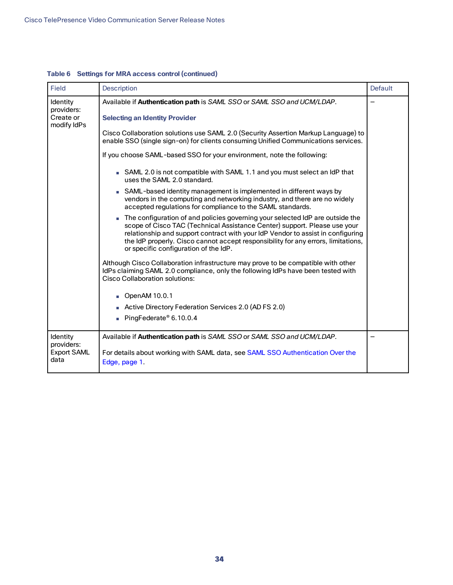| <b>Field</b>               | <b>Description</b>                                                                                                                                                                                                                                                                                                                                                          |  |
|----------------------------|-----------------------------------------------------------------------------------------------------------------------------------------------------------------------------------------------------------------------------------------------------------------------------------------------------------------------------------------------------------------------------|--|
| Identity<br>providers:     | Available if Authentication path is SAML SSO or SAML SSO and UCM/LDAP.                                                                                                                                                                                                                                                                                                      |  |
| Create or<br>modify IdPs   | <b>Selecting an Identity Provider</b>                                                                                                                                                                                                                                                                                                                                       |  |
|                            | Cisco Collaboration solutions use SAML 2.0 (Security Assertion Markup Language) to<br>enable SSO (single sign-on) for clients consuming Unified Communications services.                                                                                                                                                                                                    |  |
|                            | If you choose SAML-based SSO for your environment, note the following:                                                                                                                                                                                                                                                                                                      |  |
|                            | SAML 2.0 is not compatible with SAML 1.1 and you must select an IdP that<br>uses the SAML 2.0 standard.                                                                                                                                                                                                                                                                     |  |
|                            | SAML-based identity management is implemented in different ways by<br>vendors in the computing and networking industry, and there are no widely<br>accepted regulations for compliance to the SAML standards.                                                                                                                                                               |  |
|                            | The configuration of and policies governing your selected IdP are outside the<br>scope of Cisco TAC (Technical Assistance Center) support. Please use your<br>relationship and support contract with your IdP Vendor to assist in configuring<br>the IdP properly. Cisco cannot accept responsibility for any errors, limitations,<br>or specific configuration of the IdP. |  |
|                            | Although Cisco Collaboration infrastructure may prove to be compatible with other<br>IdPs claiming SAML 2.0 compliance, only the following IdPs have been tested with<br><b>Cisco Collaboration solutions:</b>                                                                                                                                                              |  |
|                            | OpenAM 10.0.1                                                                                                                                                                                                                                                                                                                                                               |  |
|                            | Active Directory Federation Services 2.0 (AD FS 2.0)                                                                                                                                                                                                                                                                                                                        |  |
|                            | PingFederate® 6.10.0.4                                                                                                                                                                                                                                                                                                                                                      |  |
| Identity<br>providers:     | Available if Authentication path is SAML SSO or SAML SSO and UCM/LDAP.                                                                                                                                                                                                                                                                                                      |  |
| <b>Export SAML</b><br>data | For details about working with SAML data, see SAML SSO Authentication Over the<br>Edge, page 1.                                                                                                                                                                                                                                                                             |  |

### **Table 6 Settings for MRA access control (continued)**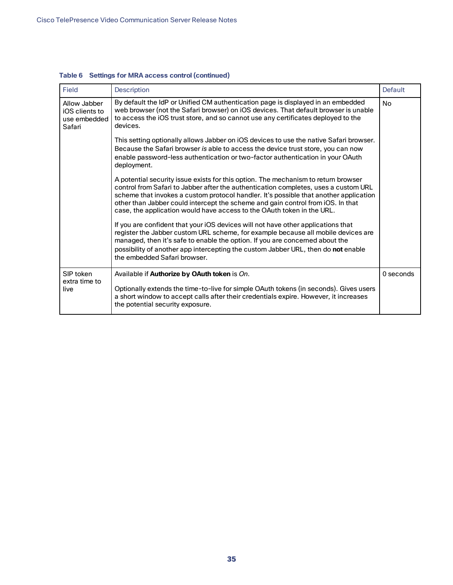| Field                                                    | <b>Description</b>                                                                                                                                                                                                                                                                                                                                                                                                              | <b>Default</b> |
|----------------------------------------------------------|---------------------------------------------------------------------------------------------------------------------------------------------------------------------------------------------------------------------------------------------------------------------------------------------------------------------------------------------------------------------------------------------------------------------------------|----------------|
| Allow Jabber<br>iOS clients to<br>use embedded<br>Safari | By default the IdP or Unified CM authentication page is displayed in an embedded<br>web browser (not the Safari browser) on iOS devices. That default browser is unable<br>to access the iOS trust store, and so cannot use any certificates deployed to the<br>devices.                                                                                                                                                        | <b>No</b>      |
|                                                          | This setting optionally allows Jabber on iOS devices to use the native Safari browser.<br>Because the Safari browser is able to access the device trust store, you can now<br>enable password-less authentication or two-factor authentication in your OAuth<br>deployment.                                                                                                                                                     |                |
|                                                          | A potential security issue exists for this option. The mechanism to return browser<br>control from Safari to Jabber after the authentication completes, uses a custom URL<br>scheme that invokes a custom protocol handler. It's possible that another application<br>other than Jabber could intercept the scheme and gain control from iOS. In that<br>case, the application would have access to the OAuth token in the URL. |                |
|                                                          | If you are confident that your iOS devices will not have other applications that<br>register the Jabber custom URL scheme, for example because all mobile devices are<br>managed, then it's safe to enable the option. If you are concerned about the<br>possibility of another app intercepting the custom Jabber URL, then do not enable<br>the embedded Safari browser.                                                      |                |
| SIP token<br>extra time to                               | Available if Authorize by OAuth token is On.                                                                                                                                                                                                                                                                                                                                                                                    | 0 seconds      |
| live                                                     | Optionally extends the time-to-live for simple OAuth tokens (in seconds). Gives users<br>a short window to accept calls after their credentials expire. However, it increases<br>the potential security exposure.                                                                                                                                                                                                               |                |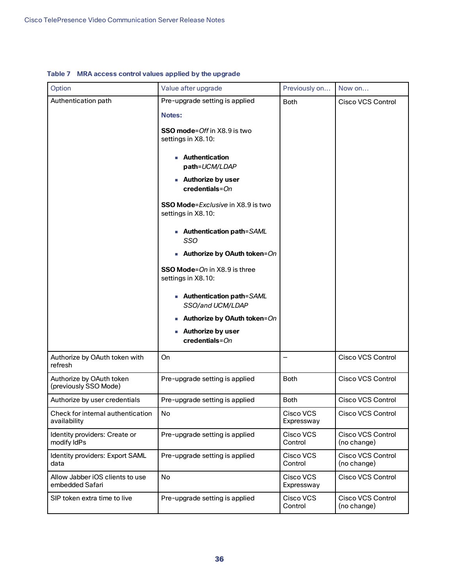| Option                                             | Value after upgrade                                                                                                                               | Previously on           | Now on                                  |
|----------------------------------------------------|---------------------------------------------------------------------------------------------------------------------------------------------------|-------------------------|-----------------------------------------|
| Authentication path                                | Pre-upgrade setting is applied<br>Notes:<br><b>SSO mode</b> =Off in X8.9 is two<br>settings in X8.10:<br><b>Authentication</b>                    | <b>Both</b>             | <b>Cisco VCS Control</b>                |
|                                                    | path=UCM/LDAP<br><b>Authorize by user</b><br>$\bf{c}$ redentials= $On$<br><b>SSO Mode</b> = <i>Exclusive</i> in X8.9 is two<br>settings in X8.10: |                         |                                         |
|                                                    | ■ Authentication path=SAML<br>SSO<br><b>Authorize by OAuth token</b> = $On$                                                                       |                         |                                         |
|                                                    | <b>SSO Mode</b> =On in X8.9 is three<br>settings in X8.10:                                                                                        |                         |                                         |
|                                                    | ■ Authentication path=SAML<br>SSO/and UCM/LDAP                                                                                                    |                         |                                         |
|                                                    | Authorize by OAuth token=On<br><b>Authorize by user</b><br>$credentials = On$                                                                     |                         |                                         |
| Authorize by OAuth token with<br>refresh           | On                                                                                                                                                |                         | <b>Cisco VCS Control</b>                |
| Authorize by OAuth token<br>(previously SSO Mode)  | Pre-upgrade setting is applied                                                                                                                    | <b>Both</b>             | <b>Cisco VCS Control</b>                |
| Authorize by user credentials                      | Pre-upgrade setting is applied                                                                                                                    | <b>Both</b>             | <b>Cisco VCS Control</b>                |
| Check for internal authentication<br>availability  | No                                                                                                                                                | Cisco VCS<br>Expressway | Cisco VCS Control                       |
| Identity providers: Create or<br>modify IdPs       | Pre-upgrade setting is applied                                                                                                                    | Cisco VCS<br>Control    | <b>Cisco VCS Control</b><br>(no change) |
| Identity providers: Export SAML<br>data            | Pre-upgrade setting is applied                                                                                                                    | Cisco VCS<br>Control    | <b>Cisco VCS Control</b><br>(no change) |
| Allow Jabber iOS clients to use<br>embedded Safari | No                                                                                                                                                | Cisco VCS<br>Expressway | <b>Cisco VCS Control</b>                |
| SIP token extra time to live                       | Pre-upgrade setting is applied                                                                                                                    | Cisco VCS<br>Control    | Cisco VCS Control<br>(no change)        |

#### **Table 7 MRA access control values applied by the upgrade**